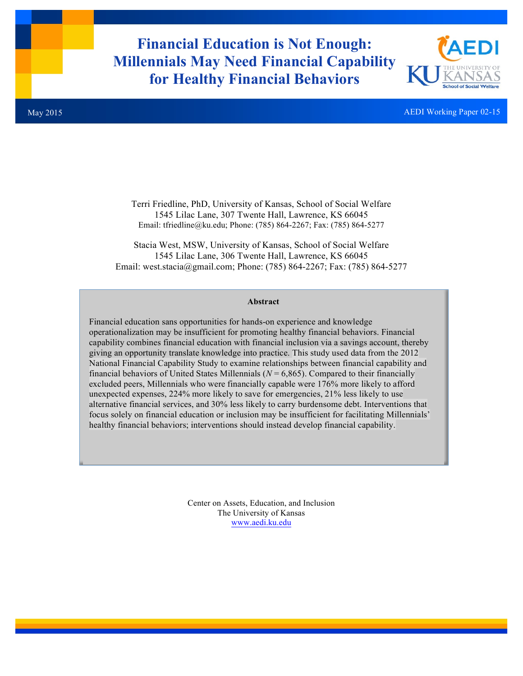# **Financial Education is Not Enough: Millennials May Need Financial Capability for Healthy Financial Behaviors**



AEDI Working Paper 02-15

Terri Friedline, PhD, University of Kansas, School of Social Welfare 1545 Lilac Lane, 307 Twente Hall, Lawrence, KS 66045 Email: tfriedline@ku.edu; Phone: (785) 864-2267; Fax: (785) 864-5277

Stacia West, MSW, University of Kansas, School of Social Welfare 1545 Lilac Lane, 306 Twente Hall, Lawrence, KS 66045 Email: west.stacia@gmail.com; Phone: (785) 864-2267; Fax: (785) 864-5277

#### **Abstract**

Financial education sans opportunities for hands-on experience and knowledge operationalization may be insufficient for promoting healthy financial behaviors. Financial capability combines financial education with financial inclusion via a savings account, thereby giving an opportunity translate knowledge into practice. This study used data from the 2012 National Financial Capability Study to examine relationships between financial capability and financial behaviors of United States Millennials ( $N = 6,865$ ). Compared to their financially excluded peers, Millennials who were financially capable were 176% more likely to afford unexpected expenses, 224% more likely to save for emergencies, 21% less likely to use alternative financial services, and 30% less likely to carry burdensome debt. Interventions that focus solely on financial education or inclusion may be insufficient for facilitating Millennials' healthy financial behaviors; interventions should instead develop financial capability.

> Center on Assets, Education, and Inclusion The University of Kansas www.aedi.ku.edu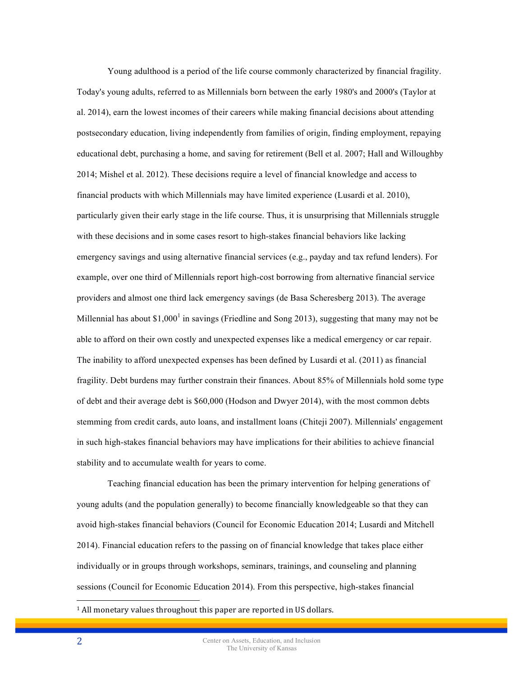Young adulthood is a period of the life course commonly characterized by financial fragility. Today's young adults, referred to as Millennials born between the early 1980's and 2000's (Taylor at al. 2014), earn the lowest incomes of their careers while making financial decisions about attending postsecondary education, living independently from families of origin, finding employment, repaying educational debt, purchasing a home, and saving for retirement (Bell et al. 2007; Hall and Willoughby 2014; Mishel et al. 2012). These decisions require a level of financial knowledge and access to financial products with which Millennials may have limited experience (Lusardi et al. 2010), particularly given their early stage in the life course. Thus, it is unsurprising that Millennials struggle with these decisions and in some cases resort to high-stakes financial behaviors like lacking emergency savings and using alternative financial services (e.g., payday and tax refund lenders). For example, over one third of Millennials report high-cost borrowing from alternative financial service providers and almost one third lack emergency savings (de Basa Scheresberg 2013). The average Millennial has about  $$1,000<sup>1</sup>$  in savings (Friedline and Song 2013), suggesting that many may not be able to afford on their own costly and unexpected expenses like a medical emergency or car repair. The inability to afford unexpected expenses has been defined by Lusardi et al. (2011) as financial fragility. Debt burdens may further constrain their finances. About 85% of Millennials hold some type of debt and their average debt is \$60,000 (Hodson and Dwyer 2014), with the most common debts stemming from credit cards, auto loans, and installment loans (Chiteji 2007). Millennials' engagement in such high-stakes financial behaviors may have implications for their abilities to achieve financial stability and to accumulate wealth for years to come.

Teaching financial education has been the primary intervention for helping generations of young adults (and the population generally) to become financially knowledgeable so that they can avoid high-stakes financial behaviors (Council for Economic Education 2014; Lusardi and Mitchell 2014). Financial education refers to the passing on of financial knowledge that takes place either individually or in groups through workshops, seminars, trainings, and counseling and planning sessions (Council for Economic Education 2014). From this perspective, high-stakes financial

 $1$  All monetary values throughout this paper are reported in US dollars.

 $\overline{a}$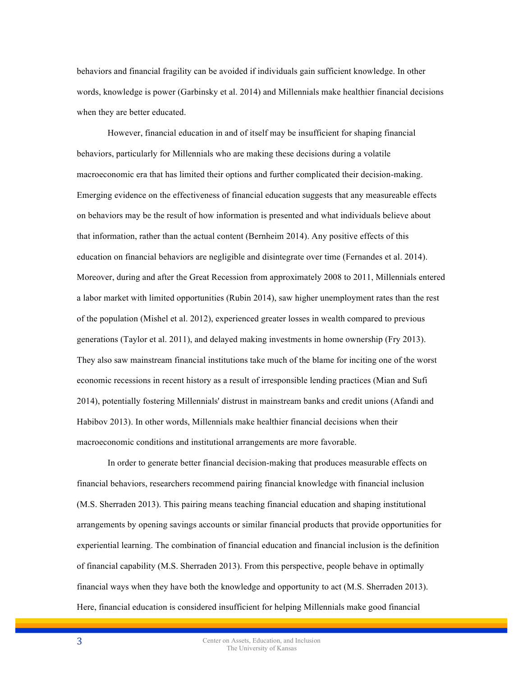behaviors and financial fragility can be avoided if individuals gain sufficient knowledge. In other words, knowledge is power (Garbinsky et al. 2014) and Millennials make healthier financial decisions when they are better educated.

However, financial education in and of itself may be insufficient for shaping financial behaviors, particularly for Millennials who are making these decisions during a volatile macroeconomic era that has limited their options and further complicated their decision-making. Emerging evidence on the effectiveness of financial education suggests that any measureable effects on behaviors may be the result of how information is presented and what individuals believe about that information, rather than the actual content (Bernheim 2014). Any positive effects of this education on financial behaviors are negligible and disintegrate over time (Fernandes et al. 2014). Moreover, during and after the Great Recession from approximately 2008 to 2011, Millennials entered a labor market with limited opportunities (Rubin 2014), saw higher unemployment rates than the rest of the population (Mishel et al. 2012), experienced greater losses in wealth compared to previous generations (Taylor et al. 2011), and delayed making investments in home ownership (Fry 2013). They also saw mainstream financial institutions take much of the blame for inciting one of the worst economic recessions in recent history as a result of irresponsible lending practices (Mian and Sufi 2014), potentially fostering Millennials' distrust in mainstream banks and credit unions (Afandi and Habibov 2013). In other words, Millennials make healthier financial decisions when their macroeconomic conditions and institutional arrangements are more favorable.

In order to generate better financial decision-making that produces measurable effects on financial behaviors, researchers recommend pairing financial knowledge with financial inclusion (M.S. Sherraden 2013). This pairing means teaching financial education and shaping institutional arrangements by opening savings accounts or similar financial products that provide opportunities for experiential learning. The combination of financial education and financial inclusion is the definition of financial capability (M.S. Sherraden 2013). From this perspective, people behave in optimally financial ways when they have both the knowledge and opportunity to act (M.S. Sherraden 2013). Here, financial education is considered insufficient for helping Millennials make good financial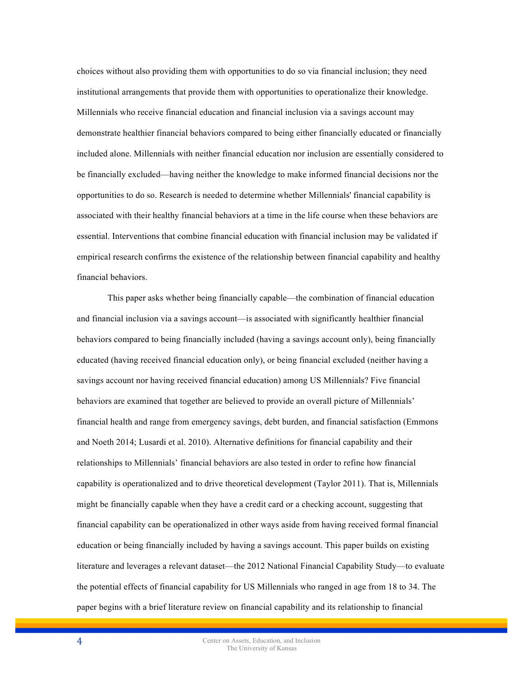choices without also providing them with opportunities to do so via financial inclusion; they need institutional arrangements that provide them with opportunities to operationalize their knowledge. Millennials who receive financial education and financial inclusion via a savings account may demonstrate healthier financial behaviors compared to being either financially educated or financially included alone. Millennials with neither financial education nor inclusion are essentially considered to be financially excluded—having neither the knowledge to make informed financial decisions nor the opportunities to do so. Research is needed to determine whether Millennials' financial capability is associated with their healthy financial behaviors at a time in the life course when these behaviors are essential. Interventions that combine financial education with financial inclusion may be validated if empirical research confirms the existence of the relationship between financial capability and healthy financial behaviors.

This paper asks whether being financially capable—the combination of financial education and financial inclusion via a savings account—is associated with significantly healthier financial behaviors compared to being financially included (having a savings account only), being financially educated (having received financial education only), or being financial excluded (neither having a savings account nor having received financial education) among US Millennials? Five financial behaviors are examined that together are believed to provide an overall picture of Millennials' financial health and range from emergency savings, debt burden, and financial satisfaction (Emmons and Noeth 2014; Lusardi et al. 2010). Alternative definitions for financial capability and their relationships to Millennials' financial behaviors are also tested in order to refine how financial capability is operationalized and to drive theoretical development (Taylor 2011). That is, Millennials might be financially capable when they have a credit card or a checking account, suggesting that financial capability can be operationalized in other ways aside from having received formal financial education or being financially included by having a savings account. This paper builds on existing literature and leverages a relevant dataset—the 2012 National Financial Capability Study—to evaluate the potential effects of financial capability for US Millennials who ranged in age from 18 to 34. The paper begins with a brief literature review on financial capability and its relationship to financial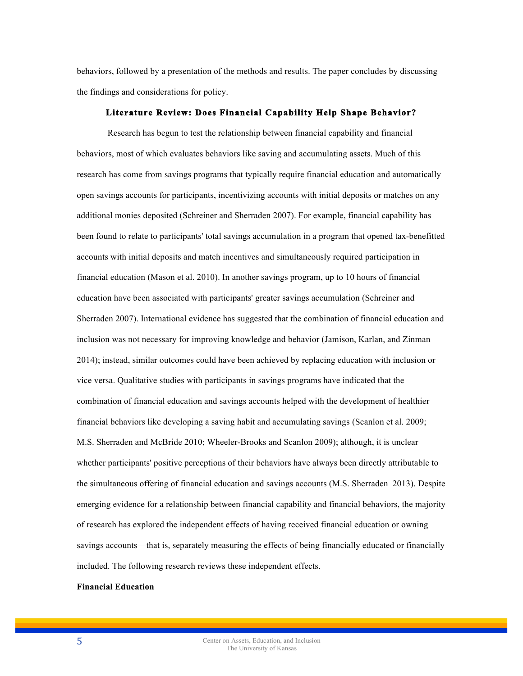behaviors, followed by a presentation of the methods and results. The paper concludes by discussing the findings and considerations for policy.

# **Literature Review: Does Financial Capability Help Shape Behavior?**

Research has begun to test the relationship between financial capability and financial behaviors, most of which evaluates behaviors like saving and accumulating assets. Much of this research has come from savings programs that typically require financial education and automatically open savings accounts for participants, incentivizing accounts with initial deposits or matches on any additional monies deposited (Schreiner and Sherraden 2007). For example, financial capability has been found to relate to participants' total savings accumulation in a program that opened tax-benefitted accounts with initial deposits and match incentives and simultaneously required participation in financial education (Mason et al. 2010). In another savings program, up to 10 hours of financial education have been associated with participants' greater savings accumulation (Schreiner and Sherraden 2007). International evidence has suggested that the combination of financial education and inclusion was not necessary for improving knowledge and behavior (Jamison, Karlan, and Zinman 2014); instead, similar outcomes could have been achieved by replacing education with inclusion or vice versa. Qualitative studies with participants in savings programs have indicated that the combination of financial education and savings accounts helped with the development of healthier financial behaviors like developing a saving habit and accumulating savings (Scanlon et al. 2009; M.S. Sherraden and McBride 2010; Wheeler-Brooks and Scanlon 2009); although, it is unclear whether participants' positive perceptions of their behaviors have always been directly attributable to the simultaneous offering of financial education and savings accounts (M.S. Sherraden 2013). Despite emerging evidence for a relationship between financial capability and financial behaviors, the majority of research has explored the independent effects of having received financial education or owning savings accounts—that is, separately measuring the effects of being financially educated or financially included. The following research reviews these independent effects.

# **Financial Education**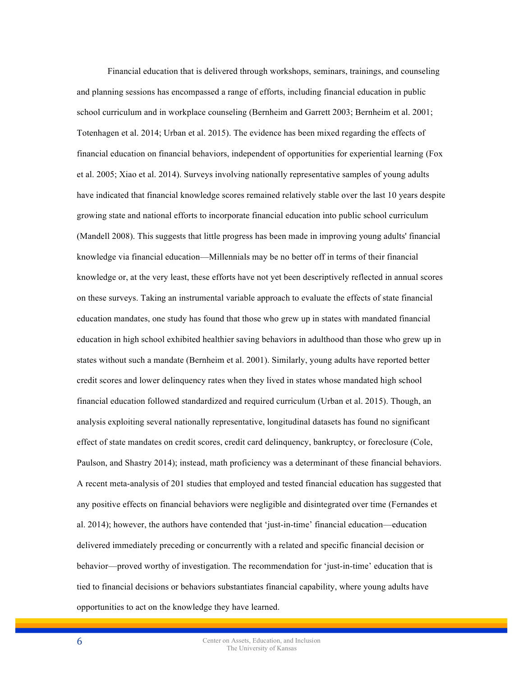Financial education that is delivered through workshops, seminars, trainings, and counseling and planning sessions has encompassed a range of efforts, including financial education in public school curriculum and in workplace counseling (Bernheim and Garrett 2003; Bernheim et al. 2001; Totenhagen et al. 2014; Urban et al. 2015). The evidence has been mixed regarding the effects of financial education on financial behaviors, independent of opportunities for experiential learning (Fox et al. 2005; Xiao et al. 2014). Surveys involving nationally representative samples of young adults have indicated that financial knowledge scores remained relatively stable over the last 10 years despite growing state and national efforts to incorporate financial education into public school curriculum (Mandell 2008). This suggests that little progress has been made in improving young adults' financial knowledge via financial education—Millennials may be no better off in terms of their financial knowledge or, at the very least, these efforts have not yet been descriptively reflected in annual scores on these surveys. Taking an instrumental variable approach to evaluate the effects of state financial education mandates, one study has found that those who grew up in states with mandated financial education in high school exhibited healthier saving behaviors in adulthood than those who grew up in states without such a mandate (Bernheim et al. 2001). Similarly, young adults have reported better credit scores and lower delinquency rates when they lived in states whose mandated high school financial education followed standardized and required curriculum (Urban et al. 2015). Though, an analysis exploiting several nationally representative, longitudinal datasets has found no significant effect of state mandates on credit scores, credit card delinquency, bankruptcy, or foreclosure (Cole, Paulson, and Shastry 2014); instead, math proficiency was a determinant of these financial behaviors. A recent meta-analysis of 201 studies that employed and tested financial education has suggested that any positive effects on financial behaviors were negligible and disintegrated over time (Fernandes et al. 2014); however, the authors have contended that 'just-in-time' financial education—education delivered immediately preceding or concurrently with a related and specific financial decision or behavior—proved worthy of investigation. The recommendation for 'just-in-time' education that is tied to financial decisions or behaviors substantiates financial capability, where young adults have opportunities to act on the knowledge they have learned.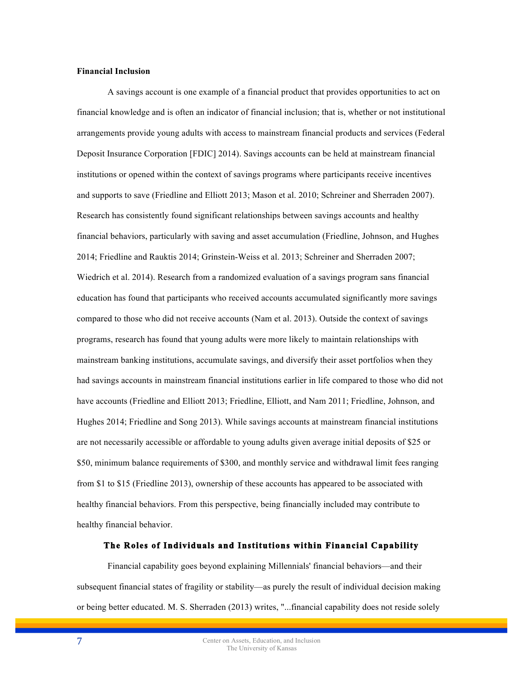## **Financial Inclusion**

A savings account is one example of a financial product that provides opportunities to act on financial knowledge and is often an indicator of financial inclusion; that is, whether or not institutional arrangements provide young adults with access to mainstream financial products and services (Federal Deposit Insurance Corporation [FDIC] 2014). Savings accounts can be held at mainstream financial institutions or opened within the context of savings programs where participants receive incentives and supports to save (Friedline and Elliott 2013; Mason et al. 2010; Schreiner and Sherraden 2007). Research has consistently found significant relationships between savings accounts and healthy financial behaviors, particularly with saving and asset accumulation (Friedline, Johnson, and Hughes 2014; Friedline and Rauktis 2014; Grinstein-Weiss et al. 2013; Schreiner and Sherraden 2007; Wiedrich et al. 2014). Research from a randomized evaluation of a savings program sans financial education has found that participants who received accounts accumulated significantly more savings compared to those who did not receive accounts (Nam et al. 2013). Outside the context of savings programs, research has found that young adults were more likely to maintain relationships with mainstream banking institutions, accumulate savings, and diversify their asset portfolios when they had savings accounts in mainstream financial institutions earlier in life compared to those who did not have accounts (Friedline and Elliott 2013; Friedline, Elliott, and Nam 2011; Friedline, Johnson, and Hughes 2014; Friedline and Song 2013). While savings accounts at mainstream financial institutions are not necessarily accessible or affordable to young adults given average initial deposits of \$25 or \$50, minimum balance requirements of \$300, and monthly service and withdrawal limit fees ranging from \$1 to \$15 (Friedline 2013), ownership of these accounts has appeared to be associated with healthy financial behaviors. From this perspective, being financially included may contribute to healthy financial behavior.

#### **The Roles of Individuals and Institutions within Financial Capability**

Financial capability goes beyond explaining Millennials' financial behaviors—and their subsequent financial states of fragility or stability—as purely the result of individual decision making or being better educated. M. S. Sherraden (2013) writes, "...financial capability does not reside solely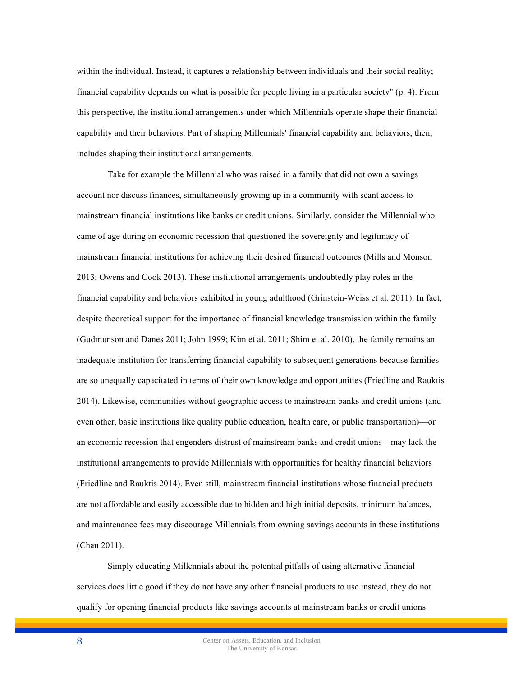within the individual. Instead, it captures a relationship between individuals and their social reality; financial capability depends on what is possible for people living in a particular society" (p. 4). From this perspective, the institutional arrangements under which Millennials operate shape their financial capability and their behaviors. Part of shaping Millennials' financial capability and behaviors, then, includes shaping their institutional arrangements.

Take for example the Millennial who was raised in a family that did not own a savings account nor discuss finances, simultaneously growing up in a community with scant access to mainstream financial institutions like banks or credit unions. Similarly, consider the Millennial who came of age during an economic recession that questioned the sovereignty and legitimacy of mainstream financial institutions for achieving their desired financial outcomes (Mills and Monson 2013; Owens and Cook 2013). These institutional arrangements undoubtedly play roles in the financial capability and behaviors exhibited in young adulthood (Grinstein-Weiss et al. 2011). In fact, despite theoretical support for the importance of financial knowledge transmission within the family (Gudmunson and Danes 2011; John 1999; Kim et al. 2011; Shim et al. 2010), the family remains an inadequate institution for transferring financial capability to subsequent generations because families are so unequally capacitated in terms of their own knowledge and opportunities (Friedline and Rauktis 2014). Likewise, communities without geographic access to mainstream banks and credit unions (and even other, basic institutions like quality public education, health care, or public transportation)—or an economic recession that engenders distrust of mainstream banks and credit unions—may lack the institutional arrangements to provide Millennials with opportunities for healthy financial behaviors (Friedline and Rauktis 2014). Even still, mainstream financial institutions whose financial products are not affordable and easily accessible due to hidden and high initial deposits, minimum balances, and maintenance fees may discourage Millennials from owning savings accounts in these institutions (Chan 2011).

Simply educating Millennials about the potential pitfalls of using alternative financial services does little good if they do not have any other financial products to use instead, they do not qualify for opening financial products like savings accounts at mainstream banks or credit unions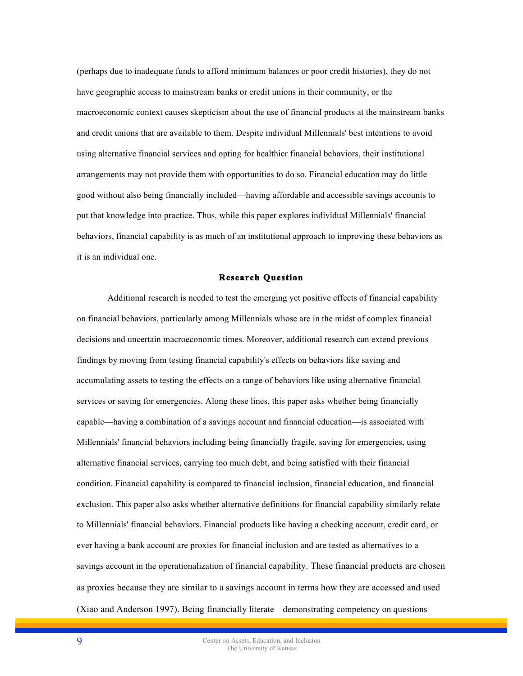(perhaps due to inadequate funds to afford minimum balances or poor credit histories), they do not have geographic access to mainstream banks or credit unions in their community, or the macroeconomic context causes skepticism about the use of financial products at the mainstream banks and credit unions that are available to them. Despite individual Millennials' best intentions to avoid using alternative financial services and opting for healthier financial behaviors, their institutional arrangements may not provide them with opportunities to do so. Financial education may do little good without also being financially included—having affordable and accessible savings accounts to put that knowledge into practice. Thus, while this paper explores individual Millennials' financial behaviors, financial capability is as much of an institutional approach to improving these behaviors as it is an individual one.

#### **Research Question**

Additional research is needed to test the emerging yet positive effects of financial capability on financial behaviors, particularly among Millennials whose are in the midst of complex financial decisions and uncertain macroeconomic times. Moreover, additional research can extend previous findings by moving from testing financial capability's effects on behaviors like saving and accumulating assets to testing the effects on a range of behaviors like using alternative financial services or saving for emergencies. Along these lines, this paper asks whether being financially capable—having a combination of a savings account and financial education—is associated with Millennials' financial behaviors including being financially fragile, saving for emergencies, using alternative financial services, carrying too much debt, and being satisfied with their financial condition. Financial capability is compared to financial inclusion, financial education, and financial exclusion. This paper also asks whether alternative definitions for financial capability similarly relate to Millennials' financial behaviors. Financial products like having a checking account, credit card, or ever having a bank account are proxies for financial inclusion and are tested as alternatives to a savings account in the operationalization of financial capability. These financial products are chosen as proxies because they are similar to a savings account in terms how they are accessed and used (Xiao and Anderson 1997). Being financially literate—demonstrating competency on questions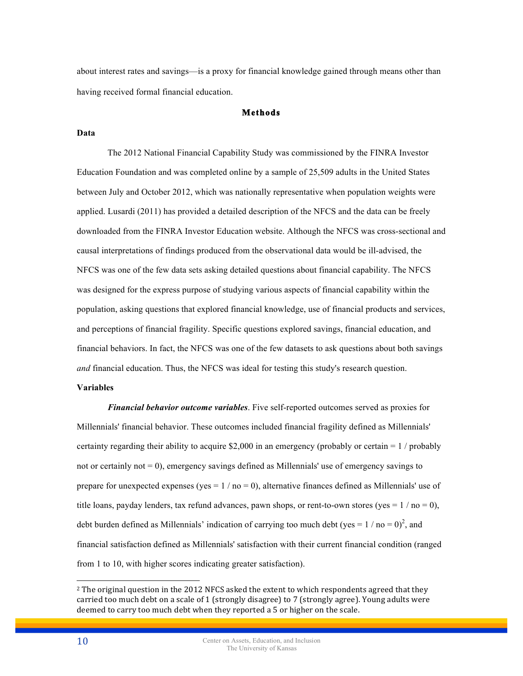about interest rates and savings—is a proxy for financial knowledge gained through means other than having received formal financial education.

# **Methods**

#### **Data**

The 2012 National Financial Capability Study was commissioned by the FINRA Investor Education Foundation and was completed online by a sample of 25,509 adults in the United States between July and October 2012, which was nationally representative when population weights were applied. Lusardi (2011) has provided a detailed description of the NFCS and the data can be freely downloaded from the FINRA Investor Education website. Although the NFCS was cross-sectional and causal interpretations of findings produced from the observational data would be ill-advised, the NFCS was one of the few data sets asking detailed questions about financial capability. The NFCS was designed for the express purpose of studying various aspects of financial capability within the population, asking questions that explored financial knowledge, use of financial products and services, and perceptions of financial fragility. Specific questions explored savings, financial education, and financial behaviors. In fact, the NFCS was one of the few datasets to ask questions about both savings *and* financial education. Thus, the NFCS was ideal for testing this study's research question.

#### **Variables**

*Financial behavior outcome variables*. Five self-reported outcomes served as proxies for Millennials' financial behavior. These outcomes included financial fragility defined as Millennials' certainty regarding their ability to acquire \$2,000 in an emergency (probably or certain  $= 1$  / probably not or certainly not  $= 0$ ), emergency savings defined as Millennials' use of emergency savings to prepare for unexpected expenses (yes  $= 1 / no = 0$ ), alternative finances defined as Millennials' use of title loans, payday lenders, tax refund advances, pawn shops, or rent-to-own stores (yes =  $1 /$  no = 0), debt burden defined as Millennials' indication of carrying too much debt (yes =  $1 /$  no = 0)<sup>2</sup>, and financial satisfaction defined as Millennials' satisfaction with their current financial condition (ranged from 1 to 10, with higher scores indicating greater satisfaction).

 $\overline{a}$ 

 $^2$  The original question in the 2012 NFCS asked the extent to which respondents agreed that they carried too much debt on a scale of 1 (strongly disagree) to 7 (strongly agree). Young adults were deemed to carry too much debt when they reported a 5 or higher on the scale.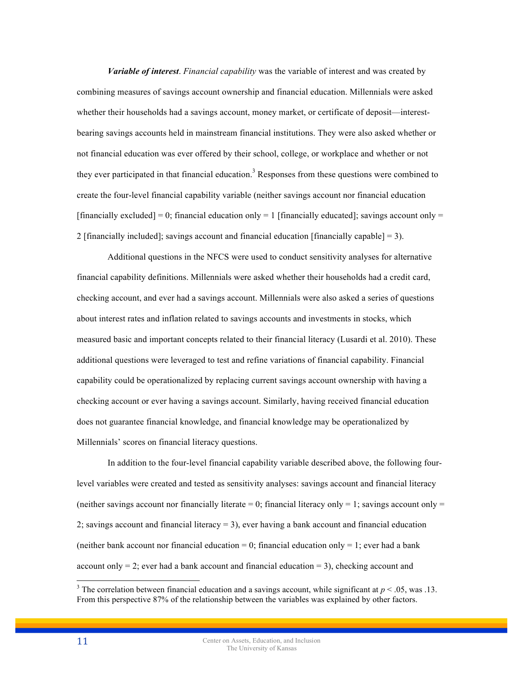*Variable of interest*. *Financial capability* was the variable of interest and was created by combining measures of savings account ownership and financial education. Millennials were asked whether their households had a savings account, money market, or certificate of deposit—interestbearing savings accounts held in mainstream financial institutions. They were also asked whether or not financial education was ever offered by their school, college, or workplace and whether or not they ever participated in that financial education.<sup>3</sup> Responses from these questions were combined to create the four-level financial capability variable (neither savings account nor financial education [financially excluded] = 0; financial education only = 1 [financially educated]; savings account only = 2 [financially included]; savings account and financial education [financially capable]  $=$  3).

Additional questions in the NFCS were used to conduct sensitivity analyses for alternative financial capability definitions. Millennials were asked whether their households had a credit card, checking account, and ever had a savings account. Millennials were also asked a series of questions about interest rates and inflation related to savings accounts and investments in stocks, which measured basic and important concepts related to their financial literacy (Lusardi et al. 2010). These additional questions were leveraged to test and refine variations of financial capability. Financial capability could be operationalized by replacing current savings account ownership with having a checking account or ever having a savings account. Similarly, having received financial education does not guarantee financial knowledge, and financial knowledge may be operationalized by Millennials' scores on financial literacy questions.

In addition to the four-level financial capability variable described above, the following fourlevel variables were created and tested as sensitivity analyses: savings account and financial literacy (neither savings account nor financially literate  $= 0$ ; financial literacy only  $= 1$ ; savings account only  $=$ 2; savings account and financial literacy  $= 3$ ), ever having a bank account and financial education (neither bank account nor financial education = 0; financial education only = 1; ever had a bank account only  $= 2$ ; ever had a bank account and financial education  $= 3$ ), checking account and

<sup>&</sup>lt;sup>3</sup> The correlation between financial education and a savings account, while significant at  $p < .05$ , was .13. From this perspective 87% of the relationship between the variables was explained by other factors.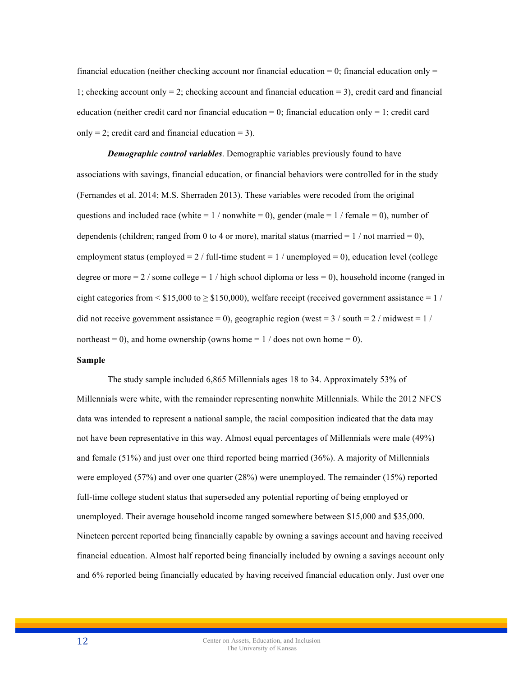financial education (neither checking account nor financial education  $= 0$ ; financial education only  $=$ 1; checking account only  $= 2$ ; checking account and financial education  $= 3$ ), credit card and financial education (neither credit card nor financial education = 0; financial education only = 1; credit card only = 2; credit card and financial education = 3).

*Demographic control variables*. Demographic variables previously found to have associations with savings, financial education, or financial behaviors were controlled for in the study (Fernandes et al. 2014; M.S. Sherraden 2013). These variables were recoded from the original questions and included race (white =  $1 /$  nonwhite = 0), gender (male =  $1 /$  female = 0), number of dependents (children; ranged from 0 to 4 or more), marital status (married  $= 1 / not married = 0$ ), employment status (employed  $= 2 /$  full-time student  $= 1 /$  unemployed  $= 0$ ), education level (college degree or more  $= 2 /$  some college  $= 1 /$  high school diploma or less  $= 0$ ), household income (ranged in eight categories from  $\leq$  \$15,000 to  $\geq$  \$150,000), welfare receipt (received government assistance = 1 / did not receive government assistance = 0), geographic region (west =  $3/$  south =  $2/$  midwest =  $1/$ northeast = 0), and home ownership (owns home =  $1 /$  does not own home = 0).

#### **Sample**

The study sample included 6,865 Millennials ages 18 to 34. Approximately 53% of Millennials were white, with the remainder representing nonwhite Millennials. While the 2012 NFCS data was intended to represent a national sample, the racial composition indicated that the data may not have been representative in this way. Almost equal percentages of Millennials were male (49%) and female (51%) and just over one third reported being married (36%). A majority of Millennials were employed (57%) and over one quarter (28%) were unemployed. The remainder (15%) reported full-time college student status that superseded any potential reporting of being employed or unemployed. Their average household income ranged somewhere between \$15,000 and \$35,000. Nineteen percent reported being financially capable by owning a savings account and having received financial education. Almost half reported being financially included by owning a savings account only and 6% reported being financially educated by having received financial education only. Just over one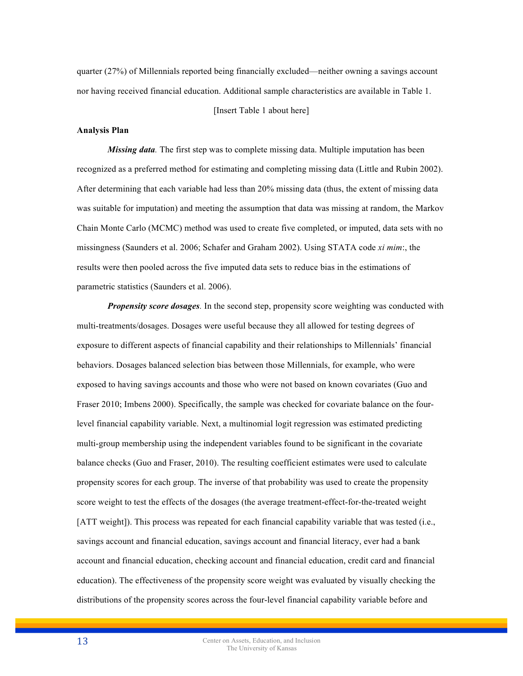quarter (27%) of Millennials reported being financially excluded—neither owning a savings account nor having received financial education. Additional sample characteristics are available in Table 1.

[Insert Table 1 about here]

#### **Analysis Plan**

*Missing data.* The first step was to complete missing data. Multiple imputation has been recognized as a preferred method for estimating and completing missing data (Little and Rubin 2002). After determining that each variable had less than 20% missing data (thus, the extent of missing data was suitable for imputation) and meeting the assumption that data was missing at random, the Markov Chain Monte Carlo (MCMC) method was used to create five completed, or imputed, data sets with no missingness (Saunders et al. 2006; Schafer and Graham 2002). Using STATA code *xi mim*:, the results were then pooled across the five imputed data sets to reduce bias in the estimations of parametric statistics (Saunders et al. 2006).

*Propensity score dosages.* In the second step, propensity score weighting was conducted with multi-treatments/dosages. Dosages were useful because they all allowed for testing degrees of exposure to different aspects of financial capability and their relationships to Millennials' financial behaviors. Dosages balanced selection bias between those Millennials, for example, who were exposed to having savings accounts and those who were not based on known covariates (Guo and Fraser 2010; Imbens 2000). Specifically, the sample was checked for covariate balance on the fourlevel financial capability variable. Next, a multinomial logit regression was estimated predicting multi-group membership using the independent variables found to be significant in the covariate balance checks (Guo and Fraser, 2010). The resulting coefficient estimates were used to calculate propensity scores for each group. The inverse of that probability was used to create the propensity score weight to test the effects of the dosages (the average treatment-effect-for-the-treated weight [ATT weight]). This process was repeated for each financial capability variable that was tested (i.e., savings account and financial education, savings account and financial literacy, ever had a bank account and financial education, checking account and financial education, credit card and financial education). The effectiveness of the propensity score weight was evaluated by visually checking the distributions of the propensity scores across the four-level financial capability variable before and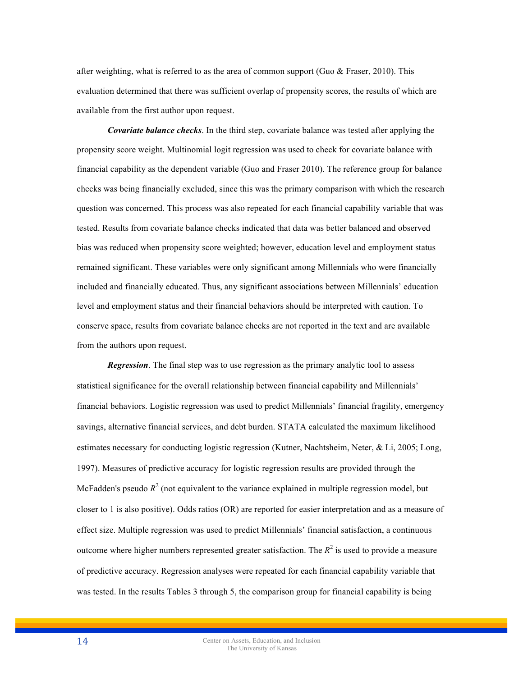after weighting, what is referred to as the area of common support (Guo  $\&$  Fraser, 2010). This evaluation determined that there was sufficient overlap of propensity scores, the results of which are available from the first author upon request.

*Covariate balance checks*. In the third step, covariate balance was tested after applying the propensity score weight. Multinomial logit regression was used to check for covariate balance with financial capability as the dependent variable (Guo and Fraser 2010). The reference group for balance checks was being financially excluded, since this was the primary comparison with which the research question was concerned. This process was also repeated for each financial capability variable that was tested. Results from covariate balance checks indicated that data was better balanced and observed bias was reduced when propensity score weighted; however, education level and employment status remained significant. These variables were only significant among Millennials who were financially included and financially educated. Thus, any significant associations between Millennials' education level and employment status and their financial behaviors should be interpreted with caution. To conserve space, results from covariate balance checks are not reported in the text and are available from the authors upon request.

*Regression*. The final step was to use regression as the primary analytic tool to assess statistical significance for the overall relationship between financial capability and Millennials' financial behaviors. Logistic regression was used to predict Millennials' financial fragility, emergency savings, alternative financial services, and debt burden. STATA calculated the maximum likelihood estimates necessary for conducting logistic regression (Kutner, Nachtsheim, Neter, & Li, 2005; Long, 1997). Measures of predictive accuracy for logistic regression results are provided through the McFadden's pseudo  $R^2$  (not equivalent to the variance explained in multiple regression model, but closer to 1 is also positive). Odds ratios (OR) are reported for easier interpretation and as a measure of effect size. Multiple regression was used to predict Millennials' financial satisfaction, a continuous outcome where higher numbers represented greater satisfaction. The  $R^2$  is used to provide a measure of predictive accuracy. Regression analyses were repeated for each financial capability variable that was tested. In the results Tables 3 through 5, the comparison group for financial capability is being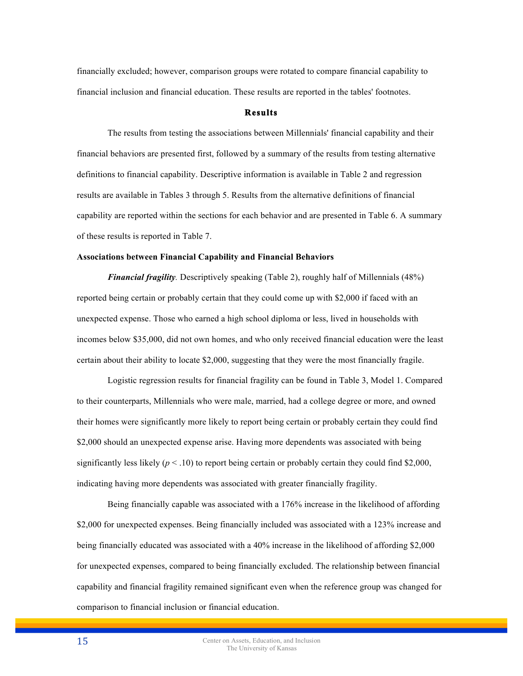financially excluded; however, comparison groups were rotated to compare financial capability to financial inclusion and financial education. These results are reported in the tables' footnotes.

# **Results**

The results from testing the associations between Millennials' financial capability and their financial behaviors are presented first, followed by a summary of the results from testing alternative definitions to financial capability. Descriptive information is available in Table 2 and regression results are available in Tables 3 through 5. Results from the alternative definitions of financial capability are reported within the sections for each behavior and are presented in Table 6. A summary of these results is reported in Table 7.

#### **Associations between Financial Capability and Financial Behaviors**

*Financial fragility.* Descriptively speaking (Table 2), roughly half of Millennials (48%) reported being certain or probably certain that they could come up with \$2,000 if faced with an unexpected expense. Those who earned a high school diploma or less, lived in households with incomes below \$35,000, did not own homes, and who only received financial education were the least certain about their ability to locate \$2,000, suggesting that they were the most financially fragile.

Logistic regression results for financial fragility can be found in Table 3, Model 1. Compared to their counterparts, Millennials who were male, married, had a college degree or more, and owned their homes were significantly more likely to report being certain or probably certain they could find \$2,000 should an unexpected expense arise. Having more dependents was associated with being significantly less likely  $(p < .10)$  to report being certain or probably certain they could find \$2,000, indicating having more dependents was associated with greater financially fragility.

Being financially capable was associated with a 176% increase in the likelihood of affording \$2,000 for unexpected expenses. Being financially included was associated with a 123% increase and being financially educated was associated with a 40% increase in the likelihood of affording \$2,000 for unexpected expenses, compared to being financially excluded. The relationship between financial capability and financial fragility remained significant even when the reference group was changed for comparison to financial inclusion or financial education.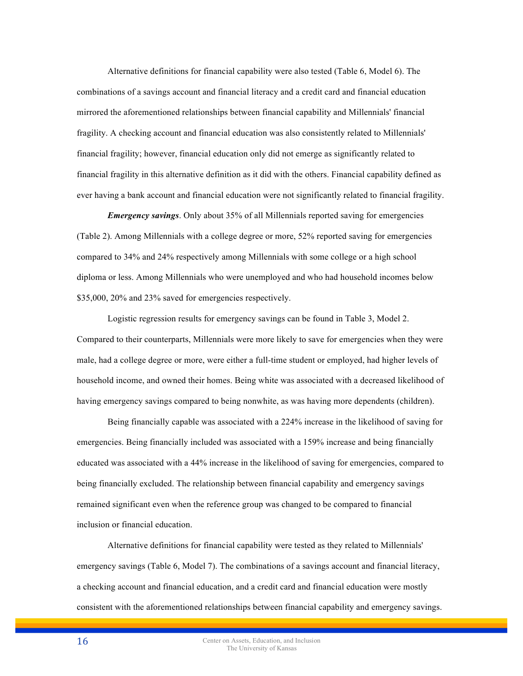Alternative definitions for financial capability were also tested (Table 6, Model 6). The combinations of a savings account and financial literacy and a credit card and financial education mirrored the aforementioned relationships between financial capability and Millennials' financial fragility. A checking account and financial education was also consistently related to Millennials' financial fragility; however, financial education only did not emerge as significantly related to financial fragility in this alternative definition as it did with the others. Financial capability defined as ever having a bank account and financial education were not significantly related to financial fragility.

*Emergency savings*. Only about 35% of all Millennials reported saving for emergencies (Table 2). Among Millennials with a college degree or more, 52% reported saving for emergencies compared to 34% and 24% respectively among Millennials with some college or a high school diploma or less. Among Millennials who were unemployed and who had household incomes below \$35,000, 20% and 23% saved for emergencies respectively.

Logistic regression results for emergency savings can be found in Table 3, Model 2. Compared to their counterparts, Millennials were more likely to save for emergencies when they were male, had a college degree or more, were either a full-time student or employed, had higher levels of household income, and owned their homes. Being white was associated with a decreased likelihood of having emergency savings compared to being nonwhite, as was having more dependents (children).

Being financially capable was associated with a 224% increase in the likelihood of saving for emergencies. Being financially included was associated with a 159% increase and being financially educated was associated with a 44% increase in the likelihood of saving for emergencies, compared to being financially excluded. The relationship between financial capability and emergency savings remained significant even when the reference group was changed to be compared to financial inclusion or financial education.

Alternative definitions for financial capability were tested as they related to Millennials' emergency savings (Table 6, Model 7). The combinations of a savings account and financial literacy, a checking account and financial education, and a credit card and financial education were mostly consistent with the aforementioned relationships between financial capability and emergency savings.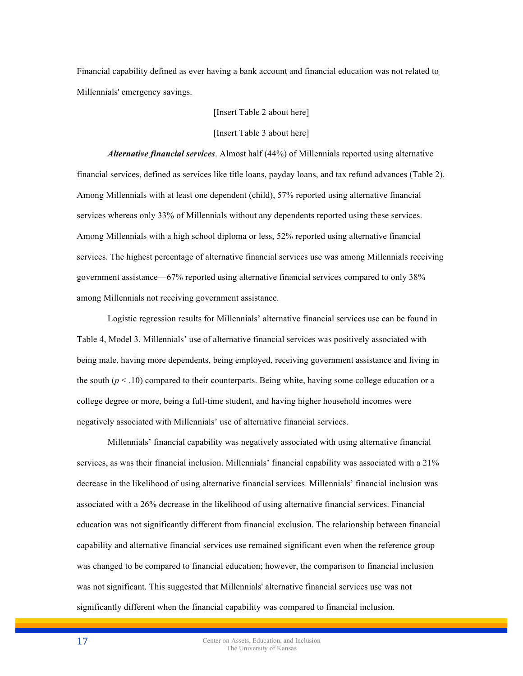Financial capability defined as ever having a bank account and financial education was not related to Millennials' emergency savings.

[Insert Table 2 about here]

[Insert Table 3 about here]

*Alternative financial services*. Almost half (44%) of Millennials reported using alternative financial services, defined as services like title loans, payday loans, and tax refund advances (Table 2). Among Millennials with at least one dependent (child), 57% reported using alternative financial services whereas only 33% of Millennials without any dependents reported using these services. Among Millennials with a high school diploma or less, 52% reported using alternative financial services. The highest percentage of alternative financial services use was among Millennials receiving government assistance—67% reported using alternative financial services compared to only 38% among Millennials not receiving government assistance.

Logistic regression results for Millennials' alternative financial services use can be found in Table 4, Model 3. Millennials' use of alternative financial services was positively associated with being male, having more dependents, being employed, receiving government assistance and living in the south  $(p < .10)$  compared to their counterparts. Being white, having some college education or a college degree or more, being a full-time student, and having higher household incomes were negatively associated with Millennials' use of alternative financial services.

Millennials' financial capability was negatively associated with using alternative financial services, as was their financial inclusion. Millennials' financial capability was associated with a 21% decrease in the likelihood of using alternative financial services. Millennials' financial inclusion was associated with a 26% decrease in the likelihood of using alternative financial services. Financial education was not significantly different from financial exclusion. The relationship between financial capability and alternative financial services use remained significant even when the reference group was changed to be compared to financial education; however, the comparison to financial inclusion was not significant. This suggested that Millennials' alternative financial services use was not significantly different when the financial capability was compared to financial inclusion.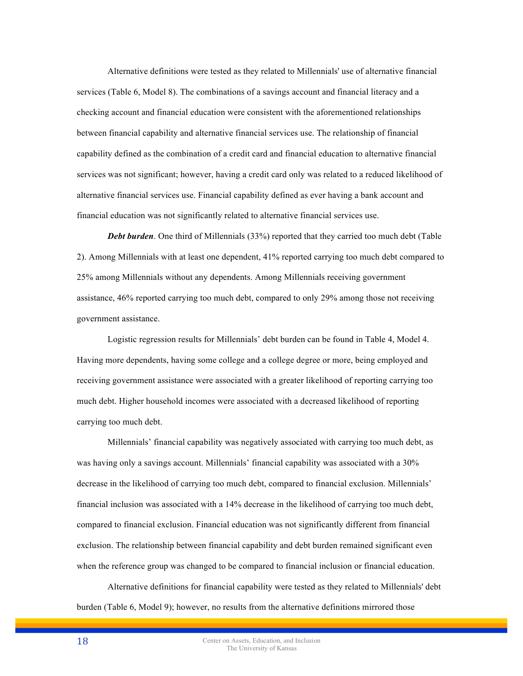Alternative definitions were tested as they related to Millennials' use of alternative financial services (Table 6, Model 8). The combinations of a savings account and financial literacy and a checking account and financial education were consistent with the aforementioned relationships between financial capability and alternative financial services use. The relationship of financial capability defined as the combination of a credit card and financial education to alternative financial services was not significant; however, having a credit card only was related to a reduced likelihood of alternative financial services use. Financial capability defined as ever having a bank account and financial education was not significantly related to alternative financial services use.

**Debt burden**. One third of Millennials (33%) reported that they carried too much debt (Table 2). Among Millennials with at least one dependent, 41% reported carrying too much debt compared to 25% among Millennials without any dependents. Among Millennials receiving government assistance, 46% reported carrying too much debt, compared to only 29% among those not receiving government assistance.

Logistic regression results for Millennials' debt burden can be found in Table 4, Model 4. Having more dependents, having some college and a college degree or more, being employed and receiving government assistance were associated with a greater likelihood of reporting carrying too much debt. Higher household incomes were associated with a decreased likelihood of reporting carrying too much debt.

Millennials' financial capability was negatively associated with carrying too much debt, as was having only a savings account. Millennials' financial capability was associated with a 30% decrease in the likelihood of carrying too much debt, compared to financial exclusion. Millennials' financial inclusion was associated with a 14% decrease in the likelihood of carrying too much debt, compared to financial exclusion. Financial education was not significantly different from financial exclusion. The relationship between financial capability and debt burden remained significant even when the reference group was changed to be compared to financial inclusion or financial education.

Alternative definitions for financial capability were tested as they related to Millennials' debt burden (Table 6, Model 9); however, no results from the alternative definitions mirrored those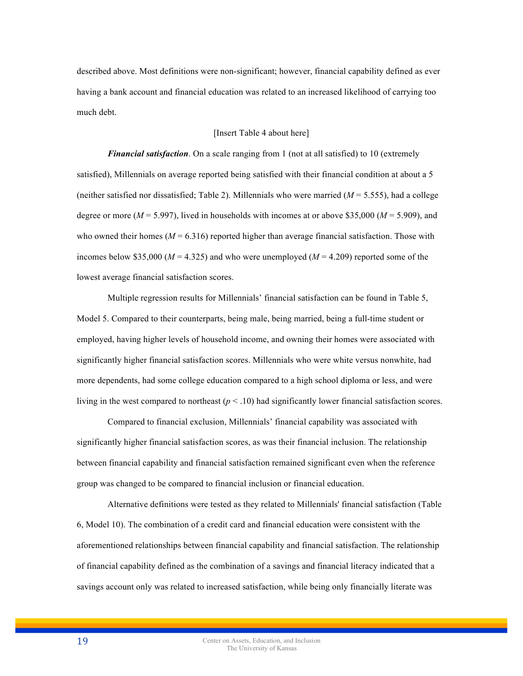described above. Most definitions were non-significant; however, financial capability defined as ever having a bank account and financial education was related to an increased likelihood of carrying too much debt.

#### [Insert Table 4 about here]

*Financial satisfaction*. On a scale ranging from 1 (not at all satisfied) to 10 (extremely satisfied), Millennials on average reported being satisfied with their financial condition at about a 5 (neither satisfied nor dissatisfied; Table 2). Millennials who were married  $(M = 5.555)$ , had a college degree or more ( $M = 5.997$ ), lived in households with incomes at or above \$35,000 ( $M = 5.909$ ), and who owned their homes  $(M = 6.316)$  reported higher than average financial satisfaction. Those with incomes below \$35,000 ( $M = 4.325$ ) and who were unemployed ( $M = 4.209$ ) reported some of the lowest average financial satisfaction scores.

Multiple regression results for Millennials' financial satisfaction can be found in Table 5, Model 5. Compared to their counterparts, being male, being married, being a full-time student or employed, having higher levels of household income, and owning their homes were associated with significantly higher financial satisfaction scores. Millennials who were white versus nonwhite, had more dependents, had some college education compared to a high school diploma or less, and were living in the west compared to northeast  $(p < .10)$  had significantly lower financial satisfaction scores.

Compared to financial exclusion, Millennials' financial capability was associated with significantly higher financial satisfaction scores, as was their financial inclusion. The relationship between financial capability and financial satisfaction remained significant even when the reference group was changed to be compared to financial inclusion or financial education.

Alternative definitions were tested as they related to Millennials' financial satisfaction (Table 6, Model 10). The combination of a credit card and financial education were consistent with the aforementioned relationships between financial capability and financial satisfaction. The relationship of financial capability defined as the combination of a savings and financial literacy indicated that a savings account only was related to increased satisfaction, while being only financially literate was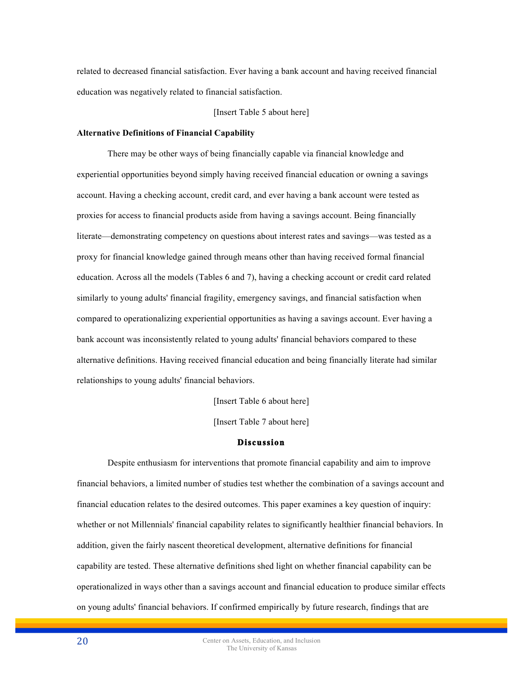related to decreased financial satisfaction. Ever having a bank account and having received financial education was negatively related to financial satisfaction.

[Insert Table 5 about here]

#### **Alternative Definitions of Financial Capability**

There may be other ways of being financially capable via financial knowledge and experiential opportunities beyond simply having received financial education or owning a savings account. Having a checking account, credit card, and ever having a bank account were tested as proxies for access to financial products aside from having a savings account. Being financially literate—demonstrating competency on questions about interest rates and savings—was tested as a proxy for financial knowledge gained through means other than having received formal financial education. Across all the models (Tables 6 and 7), having a checking account or credit card related similarly to young adults' financial fragility, emergency savings, and financial satisfaction when compared to operationalizing experiential opportunities as having a savings account. Ever having a bank account was inconsistently related to young adults' financial behaviors compared to these alternative definitions. Having received financial education and being financially literate had similar relationships to young adults' financial behaviors.

[Insert Table 6 about here]

[Insert Table 7 about here]

#### **Discussion**

Despite enthusiasm for interventions that promote financial capability and aim to improve financial behaviors, a limited number of studies test whether the combination of a savings account and financial education relates to the desired outcomes. This paper examines a key question of inquiry: whether or not Millennials' financial capability relates to significantly healthier financial behaviors. In addition, given the fairly nascent theoretical development, alternative definitions for financial capability are tested. These alternative definitions shed light on whether financial capability can be operationalized in ways other than a savings account and financial education to produce similar effects on young adults' financial behaviors. If confirmed empirically by future research, findings that are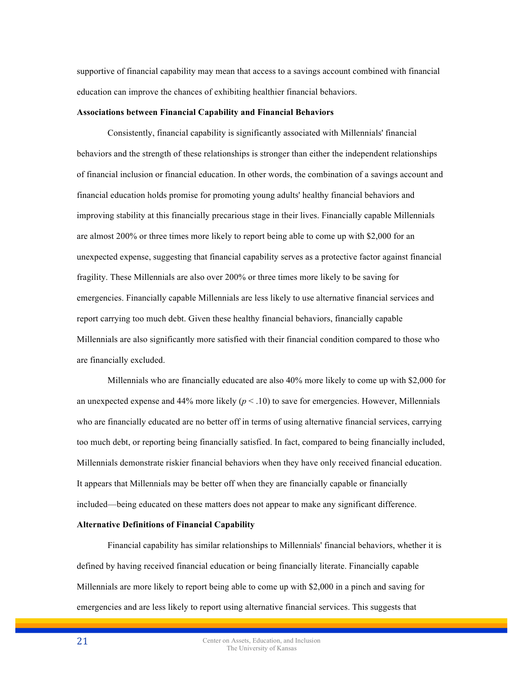supportive of financial capability may mean that access to a savings account combined with financial education can improve the chances of exhibiting healthier financial behaviors.

#### **Associations between Financial Capability and Financial Behaviors**

Consistently, financial capability is significantly associated with Millennials' financial behaviors and the strength of these relationships is stronger than either the independent relationships of financial inclusion or financial education. In other words, the combination of a savings account and financial education holds promise for promoting young adults' healthy financial behaviors and improving stability at this financially precarious stage in their lives. Financially capable Millennials are almost 200% or three times more likely to report being able to come up with \$2,000 for an unexpected expense, suggesting that financial capability serves as a protective factor against financial fragility. These Millennials are also over 200% or three times more likely to be saving for emergencies. Financially capable Millennials are less likely to use alternative financial services and report carrying too much debt. Given these healthy financial behaviors, financially capable Millennials are also significantly more satisfied with their financial condition compared to those who are financially excluded.

Millennials who are financially educated are also 40% more likely to come up with \$2,000 for an unexpected expense and  $44\%$  more likely ( $p < 0.10$ ) to save for emergencies. However, Millennials who are financially educated are no better off in terms of using alternative financial services, carrying too much debt, or reporting being financially satisfied. In fact, compared to being financially included, Millennials demonstrate riskier financial behaviors when they have only received financial education. It appears that Millennials may be better off when they are financially capable or financially included—being educated on these matters does not appear to make any significant difference.

#### **Alternative Definitions of Financial Capability**

Financial capability has similar relationships to Millennials' financial behaviors, whether it is defined by having received financial education or being financially literate. Financially capable Millennials are more likely to report being able to come up with \$2,000 in a pinch and saving for emergencies and are less likely to report using alternative financial services. This suggests that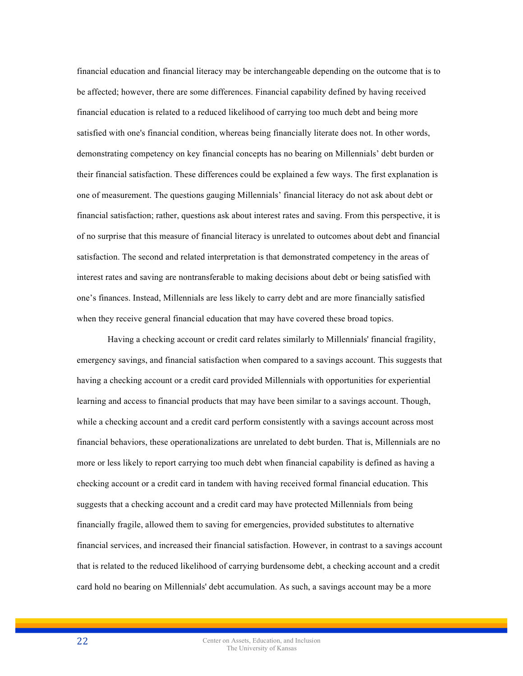financial education and financial literacy may be interchangeable depending on the outcome that is to be affected; however, there are some differences. Financial capability defined by having received financial education is related to a reduced likelihood of carrying too much debt and being more satisfied with one's financial condition, whereas being financially literate does not. In other words, demonstrating competency on key financial concepts has no bearing on Millennials' debt burden or their financial satisfaction. These differences could be explained a few ways. The first explanation is one of measurement. The questions gauging Millennials' financial literacy do not ask about debt or financial satisfaction; rather, questions ask about interest rates and saving. From this perspective, it is of no surprise that this measure of financial literacy is unrelated to outcomes about debt and financial satisfaction. The second and related interpretation is that demonstrated competency in the areas of interest rates and saving are nontransferable to making decisions about debt or being satisfied with one's finances. Instead, Millennials are less likely to carry debt and are more financially satisfied when they receive general financial education that may have covered these broad topics.

Having a checking account or credit card relates similarly to Millennials' financial fragility, emergency savings, and financial satisfaction when compared to a savings account. This suggests that having a checking account or a credit card provided Millennials with opportunities for experiential learning and access to financial products that may have been similar to a savings account. Though, while a checking account and a credit card perform consistently with a savings account across most financial behaviors, these operationalizations are unrelated to debt burden. That is, Millennials are no more or less likely to report carrying too much debt when financial capability is defined as having a checking account or a credit card in tandem with having received formal financial education. This suggests that a checking account and a credit card may have protected Millennials from being financially fragile, allowed them to saving for emergencies, provided substitutes to alternative financial services, and increased their financial satisfaction. However, in contrast to a savings account that is related to the reduced likelihood of carrying burdensome debt, a checking account and a credit card hold no bearing on Millennials' debt accumulation. As such, a savings account may be a more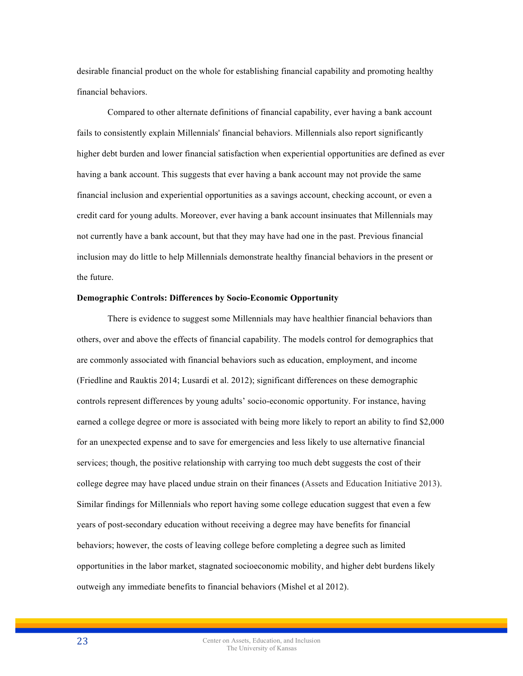desirable financial product on the whole for establishing financial capability and promoting healthy financial behaviors.

Compared to other alternate definitions of financial capability, ever having a bank account fails to consistently explain Millennials' financial behaviors. Millennials also report significantly higher debt burden and lower financial satisfaction when experiential opportunities are defined as ever having a bank account. This suggests that ever having a bank account may not provide the same financial inclusion and experiential opportunities as a savings account, checking account, or even a credit card for young adults. Moreover, ever having a bank account insinuates that Millennials may not currently have a bank account, but that they may have had one in the past. Previous financial inclusion may do little to help Millennials demonstrate healthy financial behaviors in the present or the future.

## **Demographic Controls: Differences by Socio-Economic Opportunity**

There is evidence to suggest some Millennials may have healthier financial behaviors than others, over and above the effects of financial capability. The models control for demographics that are commonly associated with financial behaviors such as education, employment, and income (Friedline and Rauktis 2014; Lusardi et al. 2012); significant differences on these demographic controls represent differences by young adults' socio-economic opportunity. For instance, having earned a college degree or more is associated with being more likely to report an ability to find \$2,000 for an unexpected expense and to save for emergencies and less likely to use alternative financial services; though, the positive relationship with carrying too much debt suggests the cost of their college degree may have placed undue strain on their finances (Assets and Education Initiative 2013). Similar findings for Millennials who report having some college education suggest that even a few years of post-secondary education without receiving a degree may have benefits for financial behaviors; however, the costs of leaving college before completing a degree such as limited opportunities in the labor market, stagnated socioeconomic mobility, and higher debt burdens likely outweigh any immediate benefits to financial behaviors (Mishel et al 2012).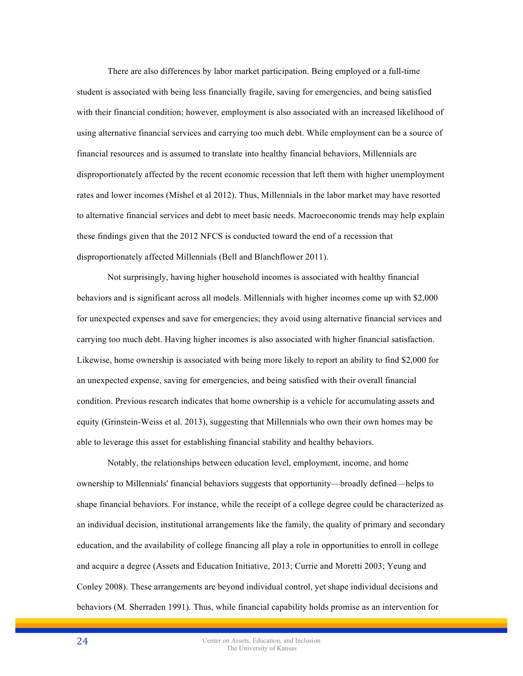There are also differences by labor market participation. Being employed or a full-time student is associated with being less financially fragile, saving for emergencies, and being satisfied with their financial condition; however, employment is also associated with an increased likelihood of using alternative financial services and carrying too much debt. While employment can be a source of financial resources and is assumed to translate into healthy financial behaviors, Millennials are disproportionately affected by the recent economic recession that left them with higher unemployment rates and lower incomes (Mishel et al 2012). Thus, Millennials in the labor market may have resorted to alternative financial services and debt to meet basic needs. Macroeconomic trends may help explain these findings given that the 2012 NFCS is conducted toward the end of a recession that disproportionately affected Millennials (Bell and Blanchflower 2011).

Not surprisingly, having higher household incomes is associated with healthy financial behaviors and is significant across all models. Millennials with higher incomes come up with \$2,000 for unexpected expenses and save for emergencies; they avoid using alternative financial services and carrying too much debt. Having higher incomes is also associated with higher financial satisfaction. Likewise, home ownership is associated with being more likely to report an ability to find \$2,000 for an unexpected expense, saving for emergencies, and being satisfied with their overall financial condition. Previous research indicates that home ownership is a vehicle for accumulating assets and equity (Grinstein-Weiss et al. 2013), suggesting that Millennials who own their own homes may be able to leverage this asset for establishing financial stability and healthy behaviors.

Notably, the relationships between education level, employment, income, and home ownership to Millennials' financial behaviors suggests that opportunity—broadly defined—helps to shape financial behaviors. For instance, while the receipt of a college degree could be characterized as an individual decision, institutional arrangements like the family, the quality of primary and secondary education, and the availability of college financing all play a role in opportunities to enroll in college and acquire a degree (Assets and Education Initiative, 2013; Currie and Moretti 2003; Yeung and Conley 2008). These arrangements are beyond individual control, yet shape individual decisions and behaviors (M. Sherraden 1991). Thus, while financial capability holds promise as an intervention for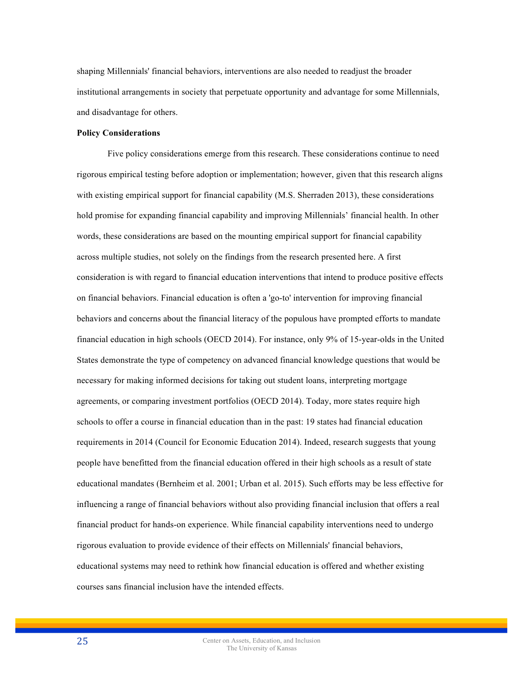shaping Millennials' financial behaviors, interventions are also needed to readjust the broader institutional arrangements in society that perpetuate opportunity and advantage for some Millennials, and disadvantage for others.

#### **Policy Considerations**

Five policy considerations emerge from this research. These considerations continue to need rigorous empirical testing before adoption or implementation; however, given that this research aligns with existing empirical support for financial capability (M.S. Sherraden 2013), these considerations hold promise for expanding financial capability and improving Millennials' financial health. In other words, these considerations are based on the mounting empirical support for financial capability across multiple studies, not solely on the findings from the research presented here. A first consideration is with regard to financial education interventions that intend to produce positive effects on financial behaviors. Financial education is often a 'go-to' intervention for improving financial behaviors and concerns about the financial literacy of the populous have prompted efforts to mandate financial education in high schools (OECD 2014). For instance, only 9% of 15-year-olds in the United States demonstrate the type of competency on advanced financial knowledge questions that would be necessary for making informed decisions for taking out student loans, interpreting mortgage agreements, or comparing investment portfolios (OECD 2014). Today, more states require high schools to offer a course in financial education than in the past: 19 states had financial education requirements in 2014 (Council for Economic Education 2014). Indeed, research suggests that young people have benefitted from the financial education offered in their high schools as a result of state educational mandates (Bernheim et al. 2001; Urban et al. 2015). Such efforts may be less effective for influencing a range of financial behaviors without also providing financial inclusion that offers a real financial product for hands-on experience. While financial capability interventions need to undergo rigorous evaluation to provide evidence of their effects on Millennials' financial behaviors, educational systems may need to rethink how financial education is offered and whether existing courses sans financial inclusion have the intended effects.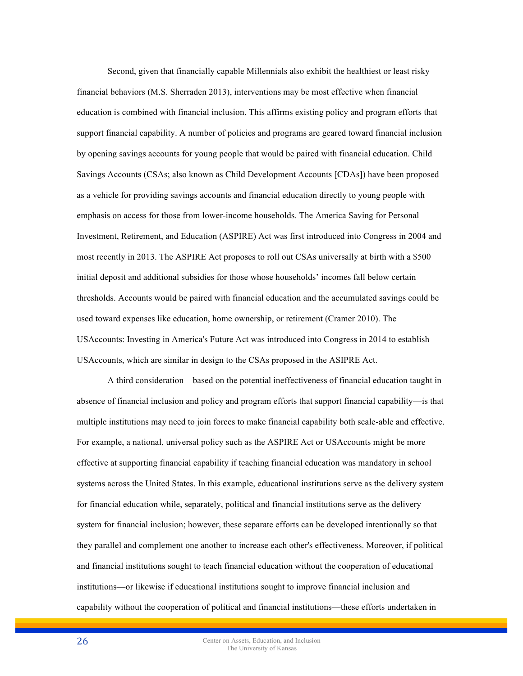Second, given that financially capable Millennials also exhibit the healthiest or least risky financial behaviors (M.S. Sherraden 2013), interventions may be most effective when financial education is combined with financial inclusion. This affirms existing policy and program efforts that support financial capability. A number of policies and programs are geared toward financial inclusion by opening savings accounts for young people that would be paired with financial education. Child Savings Accounts (CSAs; also known as Child Development Accounts [CDAs]) have been proposed as a vehicle for providing savings accounts and financial education directly to young people with emphasis on access for those from lower-income households. The America Saving for Personal Investment, Retirement, and Education (ASPIRE) Act was first introduced into Congress in 2004 and most recently in 2013. The ASPIRE Act proposes to roll out CSAs universally at birth with a \$500 initial deposit and additional subsidies for those whose households' incomes fall below certain thresholds. Accounts would be paired with financial education and the accumulated savings could be used toward expenses like education, home ownership, or retirement (Cramer 2010). The USAccounts: Investing in America's Future Act was introduced into Congress in 2014 to establish USAccounts, which are similar in design to the CSAs proposed in the ASIPRE Act.

A third consideration—based on the potential ineffectiveness of financial education taught in absence of financial inclusion and policy and program efforts that support financial capability—is that multiple institutions may need to join forces to make financial capability both scale-able and effective. For example, a national, universal policy such as the ASPIRE Act or USAccounts might be more effective at supporting financial capability if teaching financial education was mandatory in school systems across the United States. In this example, educational institutions serve as the delivery system for financial education while, separately, political and financial institutions serve as the delivery system for financial inclusion; however, these separate efforts can be developed intentionally so that they parallel and complement one another to increase each other's effectiveness. Moreover, if political and financial institutions sought to teach financial education without the cooperation of educational institutions—or likewise if educational institutions sought to improve financial inclusion and capability without the cooperation of political and financial institutions—these efforts undertaken in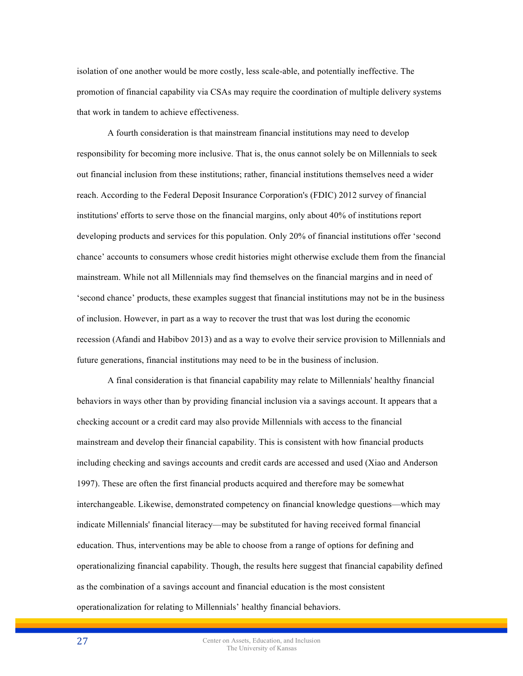isolation of one another would be more costly, less scale-able, and potentially ineffective. The promotion of financial capability via CSAs may require the coordination of multiple delivery systems that work in tandem to achieve effectiveness.

A fourth consideration is that mainstream financial institutions may need to develop responsibility for becoming more inclusive. That is, the onus cannot solely be on Millennials to seek out financial inclusion from these institutions; rather, financial institutions themselves need a wider reach. According to the Federal Deposit Insurance Corporation's (FDIC) 2012 survey of financial institutions' efforts to serve those on the financial margins, only about 40% of institutions report developing products and services for this population. Only 20% of financial institutions offer 'second chance' accounts to consumers whose credit histories might otherwise exclude them from the financial mainstream. While not all Millennials may find themselves on the financial margins and in need of 'second chance' products, these examples suggest that financial institutions may not be in the business of inclusion. However, in part as a way to recover the trust that was lost during the economic recession (Afandi and Habibov 2013) and as a way to evolve their service provision to Millennials and future generations, financial institutions may need to be in the business of inclusion.

A final consideration is that financial capability may relate to Millennials' healthy financial behaviors in ways other than by providing financial inclusion via a savings account. It appears that a checking account or a credit card may also provide Millennials with access to the financial mainstream and develop their financial capability. This is consistent with how financial products including checking and savings accounts and credit cards are accessed and used (Xiao and Anderson 1997). These are often the first financial products acquired and therefore may be somewhat interchangeable. Likewise, demonstrated competency on financial knowledge questions—which may indicate Millennials' financial literacy—may be substituted for having received formal financial education. Thus, interventions may be able to choose from a range of options for defining and operationalizing financial capability. Though, the results here suggest that financial capability defined as the combination of a savings account and financial education is the most consistent operationalization for relating to Millennials' healthy financial behaviors.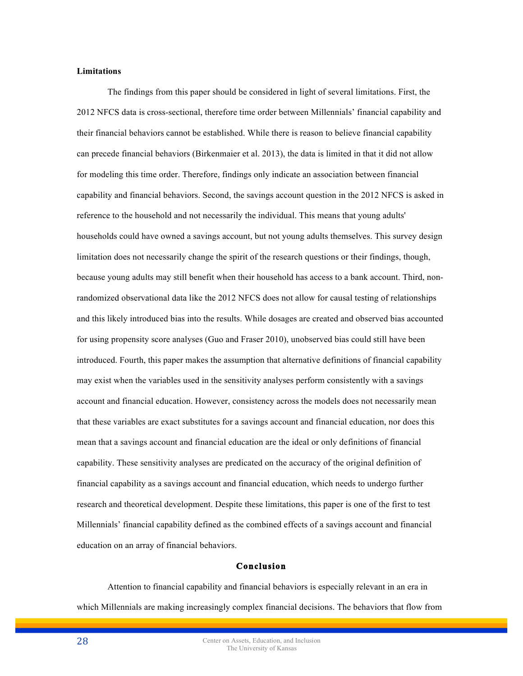## **Limitations**

The findings from this paper should be considered in light of several limitations. First, the 2012 NFCS data is cross-sectional, therefore time order between Millennials' financial capability and their financial behaviors cannot be established. While there is reason to believe financial capability can precede financial behaviors (Birkenmaier et al. 2013), the data is limited in that it did not allow for modeling this time order. Therefore, findings only indicate an association between financial capability and financial behaviors. Second, the savings account question in the 2012 NFCS is asked in reference to the household and not necessarily the individual. This means that young adults' households could have owned a savings account, but not young adults themselves. This survey design limitation does not necessarily change the spirit of the research questions or their findings, though, because young adults may still benefit when their household has access to a bank account. Third, nonrandomized observational data like the 2012 NFCS does not allow for causal testing of relationships and this likely introduced bias into the results. While dosages are created and observed bias accounted for using propensity score analyses (Guo and Fraser 2010), unobserved bias could still have been introduced. Fourth, this paper makes the assumption that alternative definitions of financial capability may exist when the variables used in the sensitivity analyses perform consistently with a savings account and financial education. However, consistency across the models does not necessarily mean that these variables are exact substitutes for a savings account and financial education, nor does this mean that a savings account and financial education are the ideal or only definitions of financial capability. These sensitivity analyses are predicated on the accuracy of the original definition of financial capability as a savings account and financial education, which needs to undergo further research and theoretical development. Despite these limitations, this paper is one of the first to test Millennials' financial capability defined as the combined effects of a savings account and financial education on an array of financial behaviors.

## **Conclusion**

Attention to financial capability and financial behaviors is especially relevant in an era in which Millennials are making increasingly complex financial decisions. The behaviors that flow from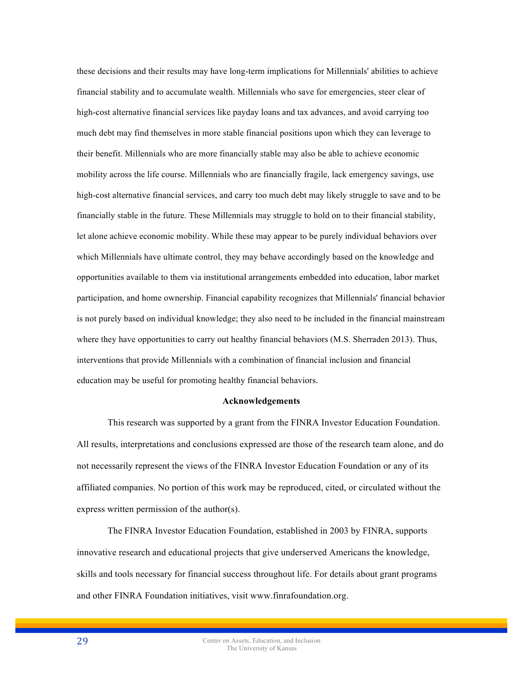these decisions and their results may have long-term implications for Millennials' abilities to achieve financial stability and to accumulate wealth. Millennials who save for emergencies, steer clear of high-cost alternative financial services like payday loans and tax advances, and avoid carrying too much debt may find themselves in more stable financial positions upon which they can leverage to their benefit. Millennials who are more financially stable may also be able to achieve economic mobility across the life course. Millennials who are financially fragile, lack emergency savings, use high-cost alternative financial services, and carry too much debt may likely struggle to save and to be financially stable in the future. These Millennials may struggle to hold on to their financial stability, let alone achieve economic mobility. While these may appear to be purely individual behaviors over which Millennials have ultimate control, they may behave accordingly based on the knowledge and opportunities available to them via institutional arrangements embedded into education, labor market participation, and home ownership. Financial capability recognizes that Millennials' financial behavior is not purely based on individual knowledge; they also need to be included in the financial mainstream where they have opportunities to carry out healthy financial behaviors (M.S. Sherraden 2013). Thus, interventions that provide Millennials with a combination of financial inclusion and financial education may be useful for promoting healthy financial behaviors.

#### **Acknowledgements**

This research was supported by a grant from the FINRA Investor Education Foundation. All results, interpretations and conclusions expressed are those of the research team alone, and do not necessarily represent the views of the FINRA Investor Education Foundation or any of its affiliated companies. No portion of this work may be reproduced, cited, or circulated without the express written permission of the author(s).

The FINRA Investor Education Foundation, established in 2003 by FINRA, supports innovative research and educational projects that give underserved Americans the knowledge, skills and tools necessary for financial success throughout life. For details about grant programs and other FINRA Foundation initiatives, visit www.finrafoundation.org.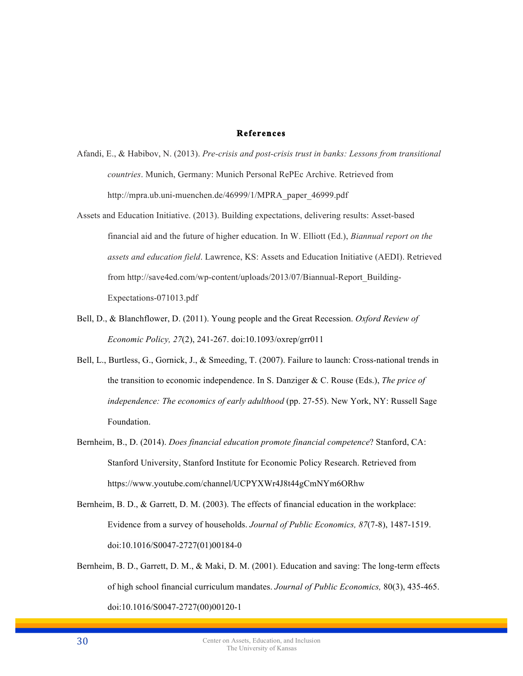## **References**

- Afandi, E., & Habibov, N. (2013). *Pre-crisis and post-crisis trust in banks: Lessons from transitional countries*. Munich, Germany: Munich Personal RePEc Archive. Retrieved from http://mpra.ub.uni-muenchen.de/46999/1/MPRA\_paper\_46999.pdf
- Assets and Education Initiative. (2013). Building expectations, delivering results: Asset-based financial aid and the future of higher education. In W. Elliott (Ed.), *Biannual report on the assets and education field*. Lawrence, KS: Assets and Education Initiative (AEDI). Retrieved from http://save4ed.com/wp-content/uploads/2013/07/Biannual-Report\_Building-Expectations-071013.pdf
- Bell, D., & Blanchflower, D. (2011). Young people and the Great Recession. *Oxford Review of Economic Policy, 27*(2), 241-267. doi:10.1093/oxrep/grr011
- Bell, L., Burtless, G., Gornick, J., & Smeeding, T. (2007). Failure to launch: Cross-national trends in the transition to economic independence. In S. Danziger & C. Rouse (Eds.), *The price of independence: The economics of early adulthood* (pp. 27-55). New York, NY: Russell Sage Foundation.
- Bernheim, B., D. (2014). *Does financial education promote financial competence*? Stanford, CA: Stanford University, Stanford Institute for Economic Policy Research. Retrieved from https://www.youtube.com/channel/UCPYXWr4J8t44gCmNYm6ORhw
- Bernheim, B. D., & Garrett, D. M. (2003). The effects of financial education in the workplace: Evidence from a survey of households. *Journal of Public Economics, 87*(7-8), 1487-1519. doi:10.1016/S0047-2727(01)00184-0
- Bernheim, B. D., Garrett, D. M., & Maki, D. M. (2001). Education and saving: The long-term effects of high school financial curriculum mandates. *Journal of Public Economics,* 80(3), 435-465. doi:10.1016/S0047-2727(00)00120-1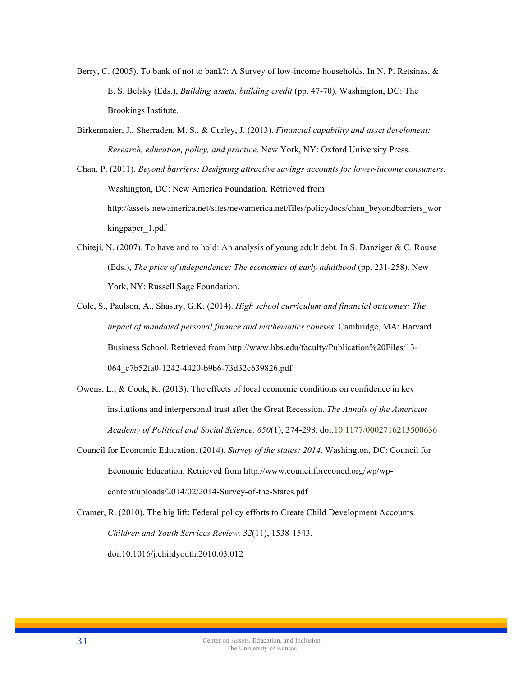- Berry, C. (2005). To bank of not to bank?: A Survey of low-income households. In N. P. Retsinas, & E. S. Belsky (Eds.), *Building assets, building credit* (pp. 47-70). Washington, DC: The Brookings Institute.
- Birkenmaier, J., Sherraden, M. S., & Curley, J. (2013). *Financial capability and asset develoment: Research, education, policy, and practice*. New York, NY: Oxford University Press.
- Chan, P. (2011). *Beyond barriers: Designing attractive savings accounts for lower-income consumers*. Washington, DC: New America Foundation. Retrieved from http://assets.newamerica.net/sites/newamerica.net/files/policydocs/chan\_beyondbarriers\_wor kingpaper\_1.pdf
- Chiteji, N. (2007). To have and to hold: An analysis of young adult debt. In S. Danziger & C. Rouse (Eds.), *The price of independence: The economics of early adulthood* (pp. 231-258). New York, NY: Russell Sage Foundation.
- Cole, S., Paulson, A., Shastry, G.K. (2014). *High school curriculum and financial outcomes: The impact of mandated personal finance and mathematics courses*. Cambridge, MA: Harvard Business School. Retrieved from http://www.hbs.edu/faculty/Publication%20Files/13- 064\_c7b52fa0-1242-4420-b9b6-73d32c639826.pdf
- Owens, L., & Cook, K. (2013). The effects of local economic conditions on confidence in key institutions and interpersonal trust after the Great Recession. *The Annals of the American Academy of Political and Social Science, 650*(1), 274-298. doi:10.1177/0002716213500636
- Council for Economic Education. (2014). *Survey of the states: 2014*. Washington, DC: Council for Economic Education. Retrieved from http://www.councilforeconed.org/wp/wpcontent/uploads/2014/02/2014-Survey-of-the-States.pdf
- Cramer, R. (2010). The big lift: Federal policy efforts to Create Child Development Accounts. *Children and Youth Services Review, 32*(11), 1538-1543. doi:10.1016/j.childyouth.2010.03.012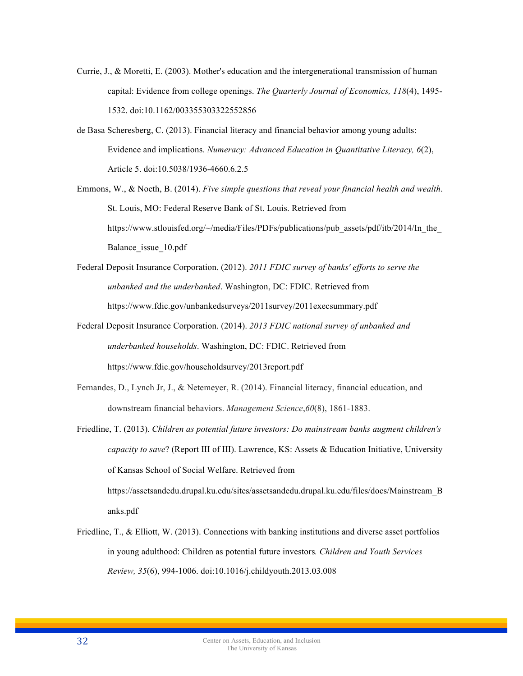- Currie, J., & Moretti, E. (2003). Mother's education and the intergenerational transmission of human capital: Evidence from college openings. *The Quarterly Journal of Economics, 118*(4), 1495- 1532. doi:10.1162/003355303322552856
- de Basa Scheresberg, C. (2013). Financial literacy and financial behavior among young adults: Evidence and implications. *Numeracy: Advanced Education in Quantitative Literacy, 6*(2), Article 5. doi:10.5038/1936-4660.6.2.5
- Emmons, W., & Noeth, B. (2014). *Five simple questions that reveal your financial health and wealth*. St. Louis, MO: Federal Reserve Bank of St. Louis. Retrieved from https://www.stlouisfed.org/~/media/Files/PDFs/publications/pub\_assets/pdf/itb/2014/In\_the Balance\_issue\_10.pdf
- Federal Deposit Insurance Corporation. (2012). *2011 FDIC survey of banks' efforts to serve the unbanked and the underbanked*. Washington, DC: FDIC. Retrieved from https://www.fdic.gov/unbankedsurveys/2011survey/2011execsummary.pdf
- Federal Deposit Insurance Corporation. (2014). *2013 FDIC national survey of unbanked and underbanked households*. Washington, DC: FDIC. Retrieved from https://www.fdic.gov/householdsurvey/2013report.pdf
- Fernandes, D., Lynch Jr, J., & Netemeyer, R. (2014). Financial literacy, financial education, and downstream financial behaviors. *Management Science*,*60*(8), 1861-1883.
- Friedline, T. (2013). *Children as potential future investors: Do mainstream banks augment children's capacity to save*? (Report III of III). Lawrence, KS: Assets & Education Initiative, University of Kansas School of Social Welfare. Retrieved from https://assetsandedu.drupal.ku.edu/sites/assetsandedu.drupal.ku.edu/files/docs/Mainstream\_B anks.pdf
- Friedline, T., & Elliott, W. (2013). Connections with banking institutions and diverse asset portfolios in young adulthood: Children as potential future investors*. Children and Youth Services Review, 35*(6), 994-1006. doi:10.1016/j.childyouth.2013.03.008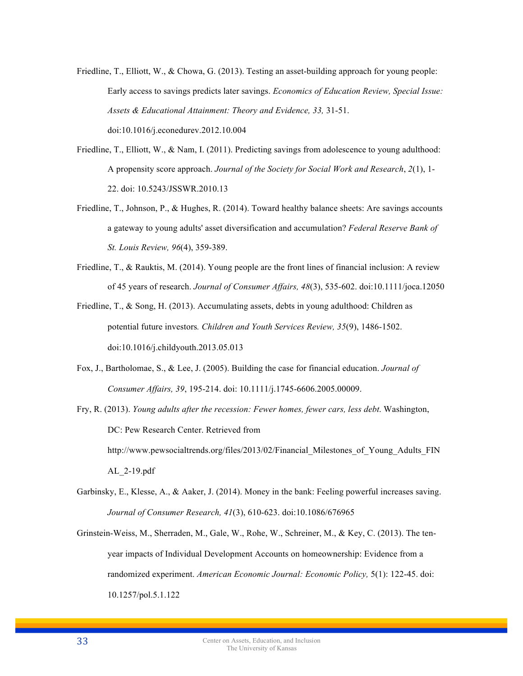- Friedline, T., Elliott, W., & Chowa, G. (2013). Testing an asset-building approach for young people: Early access to savings predicts later savings. *Economics of Education Review, Special Issue: Assets & Educational Attainment: Theory and Evidence, 33,* 31-51. doi:10.1016/j.econedurev.2012.10.004
- Friedline, T., Elliott, W., & Nam, I. (2011). Predicting savings from adolescence to young adulthood: A propensity score approach. *Journal of the Society for Social Work and Research*, *2*(1), 1- 22. doi: 10.5243/JSSWR.2010.13
- Friedline, T., Johnson, P., & Hughes, R. (2014). Toward healthy balance sheets: Are savings accounts a gateway to young adults' asset diversification and accumulation? *Federal Reserve Bank of St. Louis Review, 96*(4), 359-389.
- Friedline, T., & Rauktis, M. (2014). Young people are the front lines of financial inclusion: A review of 45 years of research. *Journal of Consumer Affairs, 48*(3), 535-602. doi:10.1111/joca.12050
- Friedline, T., & Song, H. (2013). Accumulating assets, debts in young adulthood: Children as potential future investors*. Children and Youth Services Review, 35*(9), 1486-1502. doi:10.1016/j.childyouth.2013.05.013
- Fox, J., Bartholomae, S., & Lee, J. (2005). Building the case for financial education. *Journal of Consumer Affairs, 39*, 195-214. doi: 10.1111/j.1745-6606.2005.00009.
- Fry, R. (2013). *Young adults after the recession: Fewer homes, fewer cars, less debt*. Washington, DC: Pew Research Center. Retrieved from http://www.pewsocialtrends.org/files/2013/02/Financial\_Milestones\_of\_Young\_Adults\_FIN AL\_2-19.pdf
- Garbinsky, E., Klesse, A., & Aaker, J. (2014). Money in the bank: Feeling powerful increases saving. *Journal of Consumer Research, 41*(3), 610-623. doi:10.1086/676965
- Grinstein-Weiss, M., Sherraden, M., Gale, W., Rohe, W., Schreiner, M., & Key, C. (2013). The tenyear impacts of Individual Development Accounts on homeownership: Evidence from a randomized experiment. *American Economic Journal: Economic Policy,* 5(1): 122-45. doi: 10.1257/pol.5.1.122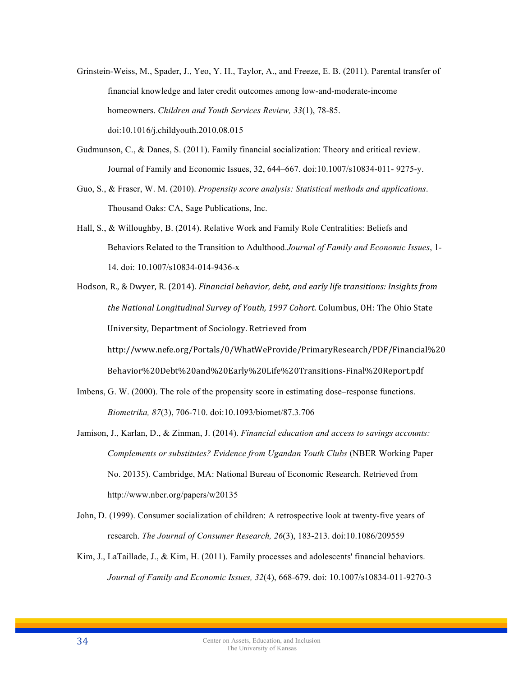- Grinstein-Weiss, M., Spader, J., Yeo, Y. H., Taylor, A., and Freeze, E. B. (2011). Parental transfer of financial knowledge and later credit outcomes among low-and-moderate-income homeowners. *Children and Youth Services Review, 33*(1), 78-85. doi:10.1016/j.childyouth.2010.08.015
- Gudmunson, C., & Danes, S. (2011). Family financial socialization: Theory and critical review. Journal of Family and Economic Issues, 32, 644–667. doi:10.1007/s10834-011- 9275-y.
- Guo, S., & Fraser, W. M. (2010). *Propensity score analysis: Statistical methods and applications*. Thousand Oaks: CA, Sage Publications, Inc.
- Hall, S., & Willoughby, B. (2014). Relative Work and Family Role Centralities: Beliefs and Behaviors Related to the Transition to Adulthood.*Journal of Family and Economic Issues*, 1- 14. doi: 10.1007/s10834-014-9436-x
- Hodson, R., & Dwyer, R. (2014). *Financial behavior, debt, and early life transitions: Insights from* the National Longitudinal Survey of Youth, 1997 Cohort. Columbus, OH: The Ohio State University, Department of Sociology. Retrieved from http://www.nefe.org/Portals/0/WhatWeProvide/PrimaryResearch/PDF/Financial%20 Behavior%20Debt%20and%20Early%20Life%20Transitions-Final%20Report.pdf
- Imbens, G. W. (2000). The role of the propensity score in estimating dose–response functions. *Biometrika, 87*(3), 706-710. doi:10.1093/biomet/87.3.706
- Jamison, J., Karlan, D., & Zinman, J. (2014). *Financial education and access to savings accounts: Complements or substitutes? Evidence from Ugandan Youth Clubs* (NBER Working Paper No. 20135). Cambridge, MA: National Bureau of Economic Research. Retrieved from http://www.nber.org/papers/w20135
- John, D. (1999). Consumer socialization of children: A retrospective look at twenty-five years of research. *The Journal of Consumer Research, 26*(3), 183-213. doi:10.1086/209559
- Kim, J., LaTaillade, J., & Kim, H. (2011). Family processes and adolescents' financial behaviors. *Journal of Family and Economic Issues, 32*(4), 668-679. doi: 10.1007/s10834-011-9270-3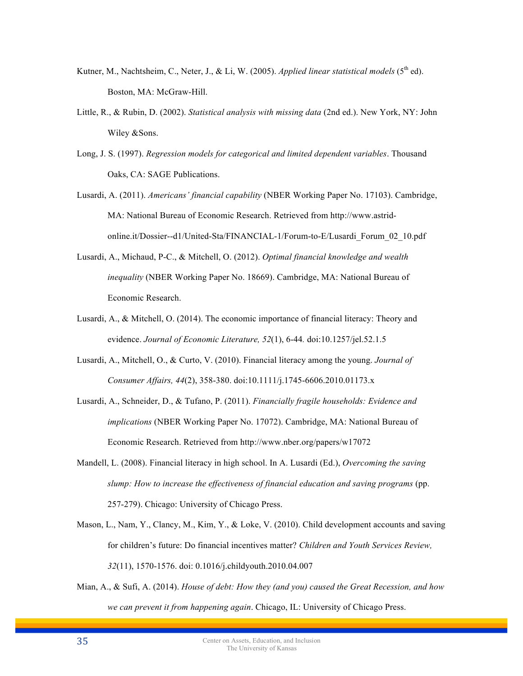- Kutner, M., Nachtsheim, C., Neter, J., & Li, W. (2005). *Applied linear statistical models* (5th ed). Boston, MA: McGraw-Hill.
- Little, R., & Rubin, D. (2002). *Statistical analysis with missing data* (2nd ed.). New York, NY: John Wiley &Sons.
- Long, J. S. (1997). *Regression models for categorical and limited dependent variables*. Thousand Oaks, CA: SAGE Publications.
- Lusardi, A. (2011). *Americans' financial capability* (NBER Working Paper No. 17103). Cambridge, MA: National Bureau of Economic Research. Retrieved from http://www.astridonline.it/Dossier--d1/United-Sta/FINANCIAL-1/Forum-to-E/Lusardi\_Forum\_02\_10.pdf
- Lusardi, A., Michaud, P-C., & Mitchell, O. (2012). *Optimal financial knowledge and wealth inequality* (NBER Working Paper No. 18669). Cambridge, MA: National Bureau of Economic Research.
- Lusardi, A., & Mitchell, O. (2014). The economic importance of financial literacy: Theory and evidence. *Journal of Economic Literature, 52*(1), 6-44*.* doi:10.1257/jel.52.1.5
- Lusardi, A., Mitchell, O., & Curto, V. (2010). Financial literacy among the young. *Journal of Consumer Affairs, 44*(2), 358-380. doi:10.1111/j.1745-6606.2010.01173.x
- Lusardi, A., Schneider, D., & Tufano, P. (2011). *Financially fragile households: Evidence and implications* (NBER Working Paper No. 17072). Cambridge, MA: National Bureau of Economic Research. Retrieved from http://www.nber.org/papers/w17072
- Mandell, L. (2008). Financial literacy in high school. In A. Lusardi (Ed.), *Overcoming the saving slump: How to increase the effectiveness of financial education and saving programs* (pp. 257-279). Chicago: University of Chicago Press.
- Mason, L., Nam, Y., Clancy, M., Kim, Y., & Loke, V. (2010). Child development accounts and saving for children's future: Do financial incentives matter? *Children and Youth Services Review, 32*(11), 1570-1576. doi: 0.1016/j.childyouth.2010.04.007
- Mian, A., & Sufi, A. (2014). *House of debt: How they (and you) caused the Great Recession, and how we can prevent it from happening again*. Chicago, IL: University of Chicago Press.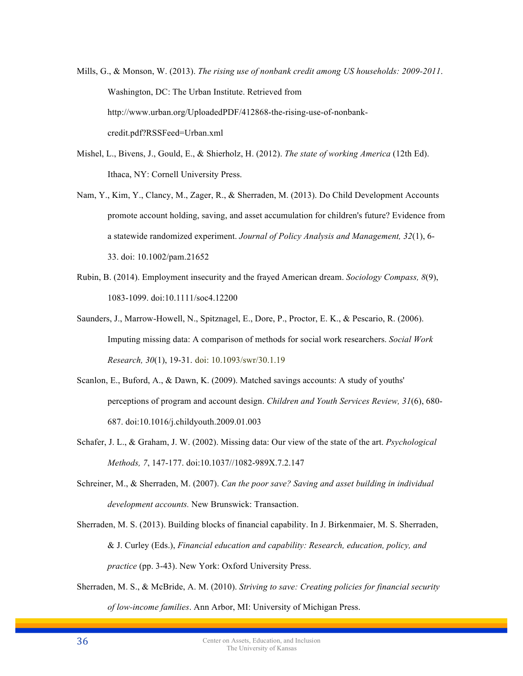Mills, G., & Monson, W. (2013). *The rising use of nonbank credit among US households: 2009-2011*. Washington, DC: The Urban Institute. Retrieved from http://www.urban.org/UploadedPDF/412868-the-rising-use-of-nonbankcredit.pdf?RSSFeed=Urban.xml

- Mishel, L., Bivens, J., Gould, E., & Shierholz, H. (2012). *The state of working America* (12th Ed). Ithaca, NY: Cornell University Press.
- Nam, Y., Kim, Y., Clancy, M., Zager, R., & Sherraden, M. (2013). Do Child Development Accounts promote account holding, saving, and asset accumulation for children's future? Evidence from a statewide randomized experiment. *Journal of Policy Analysis and Management, 32*(1), 6- 33. doi: 10.1002/pam.21652
- Rubin, B. (2014). Employment insecurity and the frayed American dream. *Sociology Compass, 8*(9), 1083-1099. doi:10.1111/soc4.12200
- Saunders, J., Marrow-Howell, N., Spitznagel, E., Dore, P., Proctor, E. K., & Pescario, R. (2006). Imputing missing data: A comparison of methods for social work researchers. *Social Work Research, 30*(1), 19-31. doi: 10.1093/swr/30.1.19
- Scanlon, E., Buford, A., & Dawn, K. (2009). Matched savings accounts: A study of youths' perceptions of program and account design. *Children and Youth Services Review, 31*(6), 680- 687. doi:10.1016/j.childyouth.2009.01.003
- Schafer, J. L., & Graham, J. W. (2002). Missing data: Our view of the state of the art. *Psychological Methods, 7*, 147-177. doi:10.1037//1082-989X.7.2.147
- Schreiner, M., & Sherraden, M. (2007). *Can the poor save? Saving and asset building in individual development accounts.* New Brunswick: Transaction.
- Sherraden, M. S. (2013). Building blocks of financial capability. In J. Birkenmaier, M. S. Sherraden, & J. Curley (Eds.), *Financial education and capability: Research, education, policy, and practice* (pp. 3-43). New York: Oxford University Press.
- Sherraden, M. S., & McBride, A. M. (2010). *Striving to save: Creating policies for financial security of low-income families*. Ann Arbor, MI: University of Michigan Press.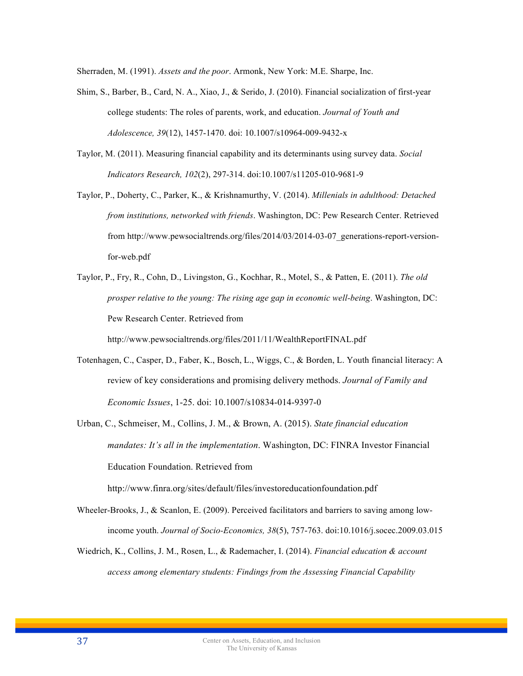Sherraden, M. (1991). *Assets and the poor*. Armonk, New York: M.E. Sharpe, Inc.

- Shim, S., Barber, B., Card, N. A., Xiao, J., & Serido, J. (2010). Financial socialization of first-year college students: The roles of parents, work, and education. *Journal of Youth and Adolescence, 39*(12), 1457-1470. doi: 10.1007/s10964-009-9432-x
- Taylor, M. (2011). Measuring financial capability and its determinants using survey data. *Social Indicators Research, 102*(2), 297-314. doi:10.1007/s11205-010-9681-9
- Taylor, P., Doherty, C., Parker, K., & Krishnamurthy, V. (2014). *Millenials in adulthood: Detached from institutions, networked with friends*. Washington, DC: Pew Research Center. Retrieved from http://www.pewsocialtrends.org/files/2014/03/2014-03-07\_generations-report-versionfor-web.pdf
- Taylor, P., Fry, R., Cohn, D., Livingston, G., Kochhar, R., Motel, S., & Patten, E. (2011). *The old prosper relative to the young: The rising age gap in economic well-being*. Washington, DC: Pew Research Center. Retrieved from http://www.pewsocialtrends.org/files/2011/11/WealthReportFINAL.pdf
- Totenhagen, C., Casper, D., Faber, K., Bosch, L., Wiggs, C., & Borden, L. Youth financial literacy: A review of key considerations and promising delivery methods. *Journal of Family and Economic Issues*, 1-25. doi: 10.1007/s10834-014-9397-0
- Urban, C., Schmeiser, M., Collins, J. M., & Brown, A. (2015). *State financial education mandates: It's all in the implementation*. Washington, DC: FINRA Investor Financial Education Foundation. Retrieved from

http://www.finra.org/sites/default/files/investoreducationfoundation.pdf

- Wheeler-Brooks, J., & Scanlon, E. (2009). Perceived facilitators and barriers to saving among lowincome youth. *Journal of Socio-Economics, 38*(5), 757-763. doi:10.1016/j.socec.2009.03.015
- Wiedrich, K., Collins, J. M., Rosen, L., & Rademacher, I. (2014). *Financial education & account access among elementary students: Findings from the Assessing Financial Capability*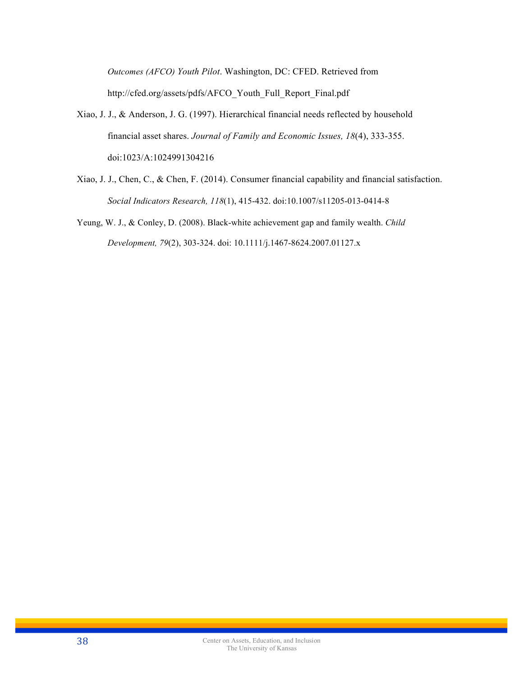*Outcomes (AFCO) Youth Pilot*. Washington, DC: CFED. Retrieved from http://cfed.org/assets/pdfs/AFCO\_Youth\_Full\_Report\_Final.pdf

- Xiao, J. J., & Anderson, J. G. (1997). Hierarchical financial needs reflected by household financial asset shares. *Journal of Family and Economic Issues, 18*(4), 333-355. doi:1023/A:1024991304216
- Xiao, J. J., Chen, C., & Chen, F. (2014). Consumer financial capability and financial satisfaction. *Social Indicators Research, 118*(1), 415-432. doi:10.1007/s11205-013-0414-8
- Yeung, W. J., & Conley, D. (2008). Black-white achievement gap and family wealth. *Child Development, 79*(2), 303-324. doi: 10.1111/j.1467-8624.2007.01127.x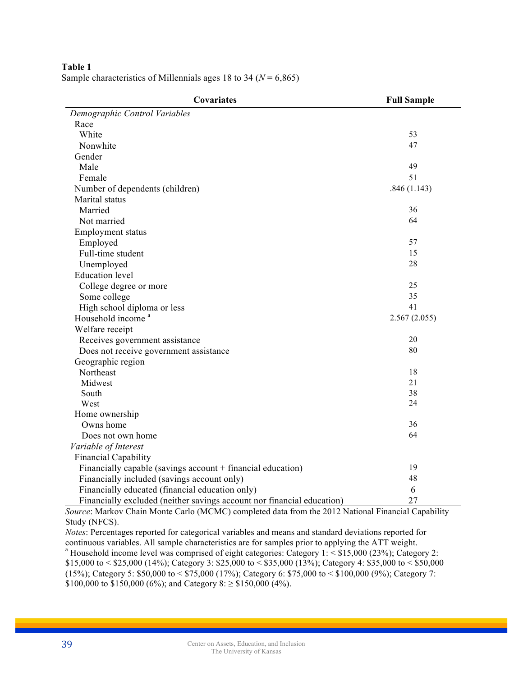**Table 1** Sample characteristics of Millennials ages 18 to 34 ( $N = 6,865$ )

| Covariates                                                             | <b>Full Sample</b> |
|------------------------------------------------------------------------|--------------------|
| Demographic Control Variables                                          |                    |
| Race                                                                   |                    |
| White                                                                  | 53                 |
| Nonwhite                                                               | 47                 |
| Gender                                                                 |                    |
| Male                                                                   | 49                 |
| Female                                                                 | 51                 |
| Number of dependents (children)                                        | .846(1.143)        |
| Marital status                                                         |                    |
| Married                                                                | 36                 |
| Not married                                                            | 64                 |
| <b>Employment status</b>                                               |                    |
| Employed                                                               | 57                 |
| Full-time student                                                      | 15                 |
| Unemployed                                                             | 28                 |
| <b>Education</b> level                                                 |                    |
| College degree or more                                                 | 25                 |
| Some college                                                           | 35                 |
| High school diploma or less                                            | 41                 |
| Household income <sup>a</sup>                                          | 2.567(2.055)       |
| Welfare receipt                                                        |                    |
| Receives government assistance                                         | 20                 |
| Does not receive government assistance                                 | 80                 |
| Geographic region                                                      |                    |
| Northeast                                                              | 18                 |
| Midwest                                                                | 21                 |
| South                                                                  | 38                 |
| West                                                                   | 24                 |
| Home ownership                                                         |                    |
| Owns home                                                              | 36                 |
| Does not own home                                                      | 64                 |
| Variable of Interest                                                   |                    |
| <b>Financial Capability</b>                                            |                    |
| Financially capable (savings account + financial education)            | 19                 |
| Financially included (savings account only)                            | 48                 |
| Financially educated (financial education only)                        | 6                  |
| Financially excluded (neither savings account nor financial education) | 27                 |

*Source*: Markov Chain Monte Carlo (MCMC) completed data from the 2012 National Financial Capability Study (NFCS).

*Notes*: Percentages reported for categorical variables and means and standard deviations reported for continuous variables. All sample characteristics are for samples prior to applying the ATT weight.<br><sup>a</sup> Household income level was comprised of eight categories: Category 1: < \$15,000 (23%); Category 2: \$15,000 to < \$25,000 (14%); Category 3: \$25,000 to < \$35,000 (13%); Category 4: \$35,000 to < \$50,000 (15%); Category 5: \$50,000 to < \$75,000 (17%); Category 6: \$75,000 to < \$100,000 (9%); Category 7: \$100,000 to \$150,000 (6%); and Category 8:  $\geq$  \$150,000 (4%).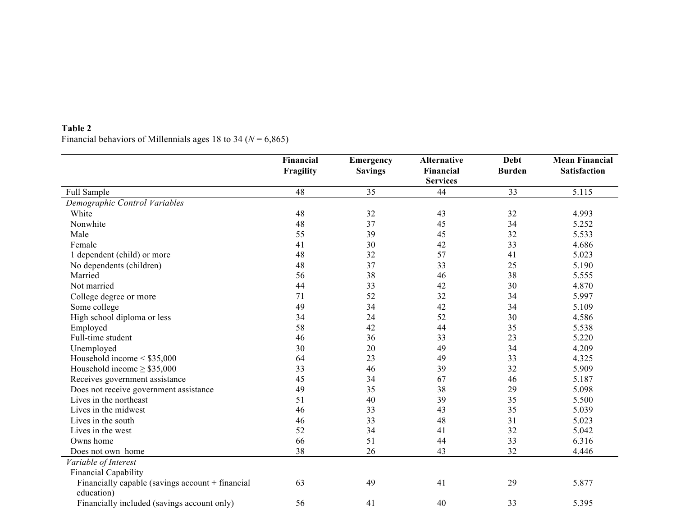# **Table 2** Financial behaviors of Millennials ages 18 to 34 ( $N = 6,865$ )

|                                                  | Financial | Emergency      | <b>Alternative</b> | <b>Debt</b>   | <b>Mean Financial</b> |
|--------------------------------------------------|-----------|----------------|--------------------|---------------|-----------------------|
|                                                  | Fragility | <b>Savings</b> | Financial          | <b>Burden</b> | <b>Satisfaction</b>   |
|                                                  |           |                | <b>Services</b>    |               |                       |
| Full Sample                                      | 48        | 35             | 44                 | 33            | 5.115                 |
| Demographic Control Variables                    |           |                |                    |               |                       |
| White                                            | 48        | 32             | 43                 | 32            | 4.993                 |
| Nonwhite                                         | 48        | 37             | 45                 | 34            | 5.252                 |
| Male                                             | 55        | 39             | 45                 | 32            | 5.533                 |
| Female                                           | 41        | 30             | 42                 | 33            | 4.686                 |
| 1 dependent (child) or more                      | 48        | 32             | 57                 | 41            | 5.023                 |
| No dependents (children)                         | 48        | 37             | 33                 | 25            | 5.190                 |
| Married                                          | 56        | 38             | 46                 | 38            | 5.555                 |
| Not married                                      | 44        | 33             | 42                 | 30            | 4.870                 |
| College degree or more                           | 71        | 52             | 32                 | 34            | 5.997                 |
| Some college                                     | 49        | 34             | 42                 | 34            | 5.109                 |
| High school diploma or less                      | 34        | 24             | 52                 | 30            | 4.586                 |
| Employed                                         | 58        | 42             | 44                 | 35            | 5.538                 |
| Full-time student                                | 46        | 36             | 33                 | 23            | 5.220                 |
| Unemployed                                       | 30        | 20             | 49                 | 34            | 4.209                 |
| Household income $\leq$ \$35,000                 | 64        | 23             | 49                 | 33            | 4.325                 |
| Household income $\geq$ \$35,000                 | 33        | 46             | 39                 | 32            | 5.909                 |
| Receives government assistance                   | 45        | 34             | 67                 | 46            | 5.187                 |
| Does not receive government assistance           | 49        | 35             | 38                 | 29            | 5.098                 |
| Lives in the northeast                           | 51        | 40             | 39                 | 35            | 5.500                 |
| Lives in the midwest                             | 46        | 33             | 43                 | 35            | 5.039                 |
| Lives in the south                               | 46        | 33             | 48                 | 31            | 5.023                 |
| Lives in the west                                | 52        | 34             | 41                 | 32            | 5.042                 |
| Owns home                                        | 66        | 51             | 44                 | 33            | 6.316                 |
| Does not own home                                | 38        | 26             | 43                 | 32            | 4.446                 |
| Variable of Interest                             |           |                |                    |               |                       |
| Financial Capability                             |           |                |                    |               |                       |
| Financially capable (savings account + financial | 63        | 49             | 41                 | 29            | 5.877                 |
| education)                                       |           |                |                    |               |                       |
| Financially included (savings account only)      | 56        | 41             | 40                 | 33            | 5.395                 |
| Financially educated (financial education only)  | 37        | 25             | 54                 | 36            | 4.613                 |
|                                                  |           |                |                    |               |                       |

 $26$   $15$   $50$   $24$   $416$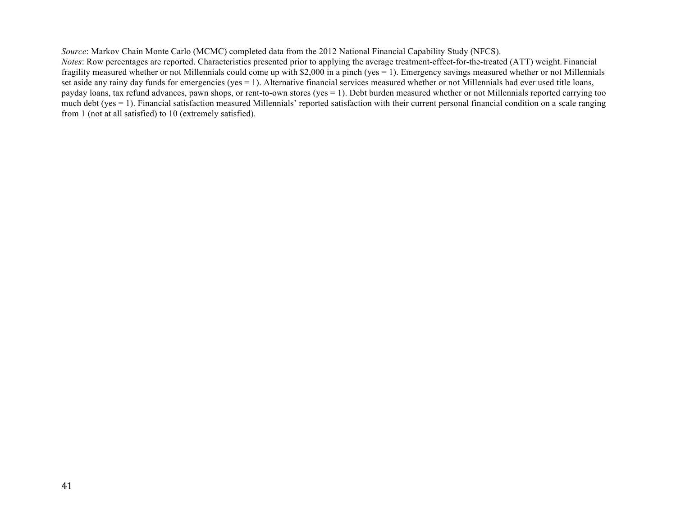*Source*: Markov Chain Monte Carlo (MCMC) completed data from the 2012 National Financial Capability Study (NFCS). *Notes*: Row percentages are reported. Characteristics presented prior to applying the average treatment-effect-for-the-treated (ATT) weight. Financial fragility measured whether or not Millennials could come up with \$2,000 in a pinch (yes = 1). Emergency savings measured whether or not Millennials set aside any rainy day funds for emergencies (yes = 1). Alternative financial services measured whether or not Millennials had ever used title loans, payday loans, tax refund advances, pawn shops, or rent-to-own stores (yes = 1). Debt burden measured whether or not Millennials reported carrying too much debt (yes = 1). Financial satisfaction measured Millennials' reported satisfaction with their current personal financial condition on a scale ranging from 1 (not at all satisfied) to 10 (extremely satisfied).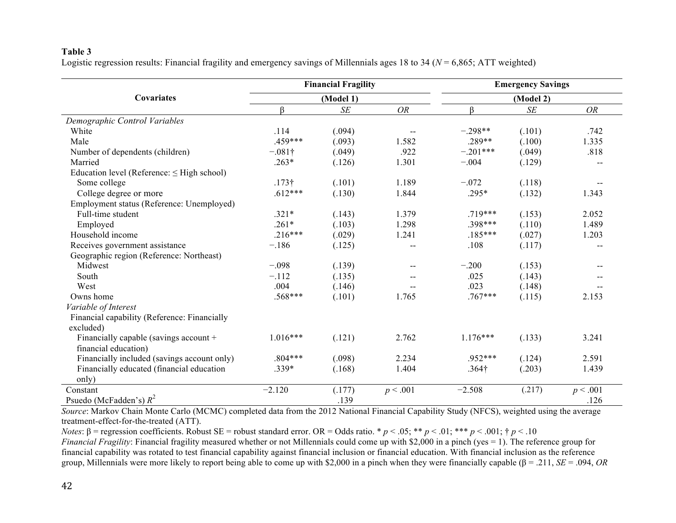# **Table 3**

Logistic regression results: Financial fragility and emergency savings of Millennials ages 18 to 34 (*N* = 6,865; ATT weighted)

|                                                 |                | <b>Financial Fragility</b> |                          | <b>Emergency Savings</b><br>(Model 2) |        |                          |  |
|-------------------------------------------------|----------------|----------------------------|--------------------------|---------------------------------------|--------|--------------------------|--|
| <b>Covariates</b>                               |                | (Model 1)                  |                          |                                       |        |                          |  |
|                                                 | ß              | SE                         | <b>OR</b>                | ß                                     | SE     | <b>OR</b>                |  |
| Demographic Control Variables                   |                |                            |                          |                                       |        |                          |  |
| White                                           | .114           | (.094)                     | $\overline{\phantom{a}}$ | $-.298**$                             | (.101) | .742                     |  |
| Male                                            | .459***        | (.093)                     | 1.582                    | .289**                                | (.100) | 1.335                    |  |
| Number of dependents (children)                 | $-.081\dagger$ | (.049)                     | .922                     | $-.201***$                            | (.049) | .818                     |  |
| Married                                         | $.263*$        | (.126)                     | 1.301                    | $-.004$                               | (.129) |                          |  |
| Education level (Reference: $\leq$ High school) |                |                            |                          |                                       |        |                          |  |
| Some college                                    | $.173\dagger$  | (.101)                     | 1.189                    | $-.072$                               | (.118) | $\overline{\phantom{a}}$ |  |
| College degree or more                          | $.612***$      | (.130)                     | 1.844                    | .295*                                 | (.132) | 1.343                    |  |
| Employment status (Reference: Unemployed)       |                |                            |                          |                                       |        |                          |  |
| Full-time student                               | $.321*$        | (.143)                     | 1.379                    | .719***                               | (.153) | 2.052                    |  |
| Employed                                        | $.261*$        | (.103)                     | 1.298                    | .398***                               | (.110) | 1.489                    |  |
| Household income                                | $.216***$      | (.029)                     | 1.241                    | $.185***$                             | (.027) | 1.203                    |  |
| Receives government assistance                  | $-.186$        | (.125)                     | $-$                      | .108                                  | (.117) |                          |  |
| Geographic region (Reference: Northeast)        |                |                            |                          |                                       |        |                          |  |
| Midwest                                         | $-.098$        | (.139)                     | $-$                      | $-.200$                               | (.153) |                          |  |
| South                                           | $-.112$        | (.135)                     |                          | .025                                  | (.143) |                          |  |
| West                                            | .004           | (.146)                     |                          | .023                                  | (.148) |                          |  |
| Owns home                                       | .568***        | (.101)                     | 1.765                    | $.767***$                             | (.115) | 2.153                    |  |
| Variable of Interest                            |                |                            |                          |                                       |        |                          |  |
| Financial capability (Reference: Financially    |                |                            |                          |                                       |        |                          |  |
| excluded)                                       |                |                            |                          |                                       |        |                          |  |
| Financially capable (savings account +          | $1.016***$     | (.121)                     | 2.762                    | $1.176***$                            | (.133) | 3.241                    |  |
| financial education)                            |                |                            |                          |                                       |        |                          |  |
| Financially included (savings account only)     | $.804***$      | (.098)                     | 2.234                    | $.952***$                             | (.124) | 2.591                    |  |
| Financially educated (financial education       | .339*          | (.168)                     | 1.404                    | .364 <sup>†</sup>                     | (.203) | 1.439                    |  |
| only)                                           |                |                            |                          |                                       |        |                          |  |
| Constant                                        | $-2.120$       | (.177)                     | p < .001                 | $-2.508$                              | (.217) | p < .001                 |  |
| Psuedo (McFadden's) $R^2$                       |                | .139                       |                          |                                       |        | .126                     |  |

*Source*: Markov Chain Monte Carlo (MCMC) completed data from the 2012 National Financial Capability Study (NFCS), weighted using the average treatment-effect-for-the-treated (ATT).

*Notes*: β = regression coefficients. Robust SE = robust standard error. OR = Odds ratio. \* *p* < .05; \*\* *p* < .01; \*\*\* *p* < .001; † *p* < .10

*Financial Fragility*: Financial fragility measured whether or not Millennials could come up with \$2,000 in a pinch (yes = 1). The reference group for financial capability was rotated to test financial capability against financial inclusion or financial education. With financial inclusion as the reference group, Millennials were more likely to report being able to come up with \$2,000 in a pinch when they were financially capable (β = .211, *SE* = .094, *OR*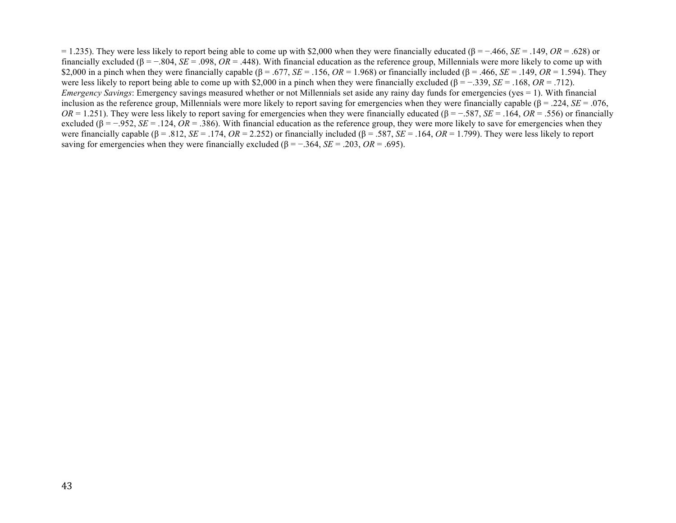= 1.235). They were less likely to report being able to come up with \$2,000 when they were financially educated (β = −.466, *SE* = .149, *OR* = .628) or financially excluded ( $\beta = -.804$ ,  $SE = .098$ ,  $OR = .448$ ). With financial education as the reference group, Millennials were more likely to come up with \$2,000 in a pinch when they were financially capable ( $\beta$  = .677, *SE* = .156, *OR* = 1.968) or financially included ( $\beta$  = .466, *SE* = .149, *OR* = 1.594). They were less likely to report being able to come up with \$2,000 in a pinch when they were financially excluded (β = −.339, *SE* = .168, *OR* = .712). *Emergency Savings*: Emergency savings measured whether or not Millennials set aside any rainy day funds for emergencies (yes = 1). With financial inclusion as the reference group, Millennials were more likely to report saving for emergencies when they were financially capable (β = .224, *SE* = .076, *OR* = 1.251). They were less likely to report saving for emergencies when they were financially educated ( $\beta$  = −.587, *SE* = .164, *OR* = .556) or financially excluded ( $\beta = -0.952$ ,  $SE = 0.124$ ,  $OR = 0.386$ ). With financial education as the reference group, they were more likely to save for emergencies when they were financially capable ( $\beta$  = .812, *SE* = .174, *OR* = 2.252) or financially included ( $\beta$  = .587, *SE* = .164, *OR* = 1.799). They were less likely to report saving for emergencies when they were financially excluded ( $\beta = -0.364$ , *SE* = .203, *OR* = .695).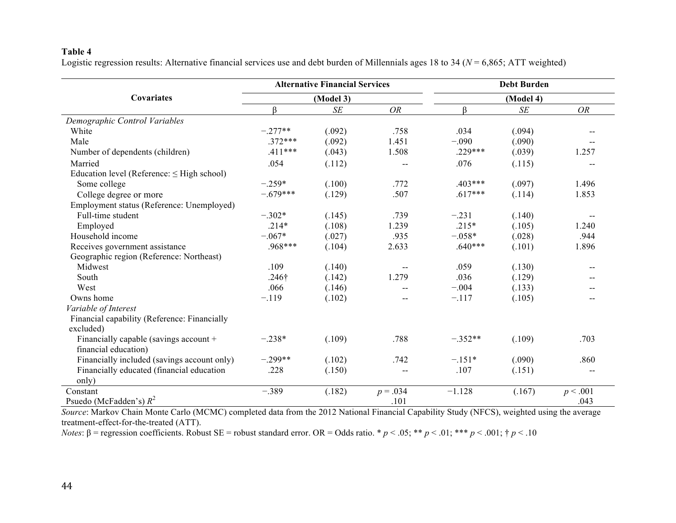# **Table 4**

Logistic regression results: Alternative financial services use and debt burden of Millennials ages 18 to 34 (*N* = 6,865; ATT weighted)

|                                                 |                   | <b>Alternative Financial Services</b> |                          | <b>Debt Burden</b> |           |           |  |  |
|-------------------------------------------------|-------------------|---------------------------------------|--------------------------|--------------------|-----------|-----------|--|--|
| Covariates                                      |                   | (Model 3)                             |                          |                    | (Model 4) |           |  |  |
|                                                 | ß                 | $\cal SE$                             | <b>OR</b>                | ß                  | $\cal SE$ | <b>OR</b> |  |  |
| Demographic Control Variables                   |                   |                                       |                          |                    |           |           |  |  |
| White                                           | $-.277**$         | (.092)                                | .758                     | .034               | (.094)    |           |  |  |
| Male                                            | $.372***$         | (.092)                                | 1.451                    | $-.090$            | (.090)    |           |  |  |
| Number of dependents (children)                 | $.411***$         | (.043)                                | 1.508                    | $.229***$          | (.039)    | 1.257     |  |  |
| Married                                         | .054              | (.112)                                | --                       | .076               | (.115)    |           |  |  |
| Education level (Reference: $\leq$ High school) |                   |                                       |                          |                    |           |           |  |  |
| Some college                                    | $-.259*$          | (.100)                                | .772                     | $.403***$          | (.097)    | 1.496     |  |  |
| College degree or more                          | $-.679***$        | (.129)                                | .507                     | $.617***$          | (.114)    | 1.853     |  |  |
| Employment status (Reference: Unemployed)       |                   |                                       |                          |                    |           |           |  |  |
| Full-time student                               | $-.302*$          | (.145)                                | .739                     | $-.231$            | (.140)    |           |  |  |
| Employed                                        | $.214*$           | (.108)                                | 1.239                    | $.215*$            | (.105)    | 1.240     |  |  |
| Household income                                | $-.067*$          | (.027)                                | .935                     | $-.058*$           | (.028)    | .944      |  |  |
| Receives government assistance                  | $.968***$         | (.104)                                | 2.633                    | $.640***$          | (.101)    | 1.896     |  |  |
| Geographic region (Reference: Northeast)        |                   |                                       |                          |                    |           |           |  |  |
| Midwest                                         | .109              | (.140)                                | $-\,-$                   | .059               | (.130)    | --        |  |  |
| South                                           | .246 <sup>†</sup> | (.142)                                | 1.279                    | .036               | (.129)    |           |  |  |
| West                                            | .066              | (.146)                                | $- -$                    | $-.004$            | (.133)    |           |  |  |
| Owns home                                       | $-.119$           | (.102)                                | $\overline{\phantom{m}}$ | $-.117$            | (.105)    |           |  |  |
| Variable of Interest                            |                   |                                       |                          |                    |           |           |  |  |
| Financial capability (Reference: Financially    |                   |                                       |                          |                    |           |           |  |  |
| excluded)                                       |                   |                                       |                          |                    |           |           |  |  |
| Financially capable (savings account +          | $-.238*$          | (.109)                                | .788                     | $-.352**$          | (.109)    | .703      |  |  |
| financial education)                            |                   |                                       |                          |                    |           |           |  |  |
| Financially included (savings account only)     | $-.299**$         | (.102)                                | .742                     | $-.151*$           | (.090)    | .860      |  |  |
| Financially educated (financial education       | .228              | (.150)                                | $- -$                    | .107               | (.151)    | $-$       |  |  |
| only)                                           |                   |                                       |                          |                    |           |           |  |  |
| Constant                                        | $-.389$           | (.182)                                | $p = .034$               | $-1.128$           | (.167)    | p < .001  |  |  |
| Psuedo (McFadden's) $R^2$                       |                   |                                       | .101                     |                    |           | .043      |  |  |

*Source*: Markov Chain Monte Carlo (MCMC) completed data from the 2012 National Financial Capability Study (NFCS), weighted using the average treatment-effect-for-the-treated (ATT).

*Notes*: β = regression coefficients. Robust SE = robust standard error. OR = Odds ratio. \* *p* < .05; \*\* *p* < .01; \*\*\* *p* < .001; † *p* < .10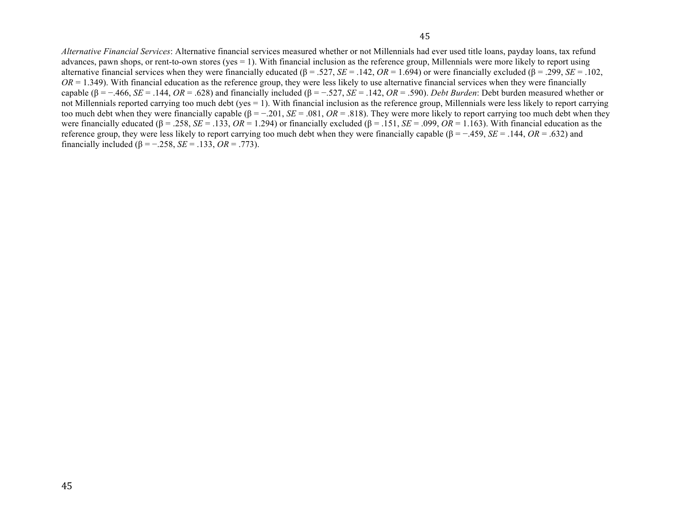*Alternative Financial Services*: Alternative financial services measured whether or not Millennials had ever used title loans, payday loans, tax refund advances, pawn shops, or rent-to-own stores (yes = 1). With financial inclusion as the reference group, Millennials were more likely to report using alternative financial services when they were financially educated ( $\beta = .527$ ,  $SE = .142$ ,  $OR = 1.694$ ) or were financially excluded ( $\beta = .299$ ,  $SE = .102$ ,  $OR = 1.349$ ). With financial education as the reference group, they were less likely to use alternative financial services when they were financially capable ( $\beta$  = -.466, *SE* = .144, *OR* = .628) and financially included ( $\beta$  = -.527, *SE* = .142, *OR* = .590). *Debt Burden*: Debt burden measured whether or not Millennials reported carrying too much debt (yes = 1). With financial inclusion as the reference group, Millennials were less likely to report carrying too much debt when they were financially capable  $(β = -.201, SE = .081, OR = .818)$ . They were more likely to report carrying too much debt when they were financially educated ( $\beta = .258$ ,  $SE = .133$ ,  $OR = 1.294$ ) or financially excluded ( $\beta = .151$ ,  $SE = .099$ ,  $OR = 1.163$ ). With financial education as the reference group, they were less likely to report carrying too much debt when they were financially capable (β = −.459, *SE* = .144, *OR* = .632) and financially included ( $\beta$  = -.258, *SE* = .133, *OR* = .773).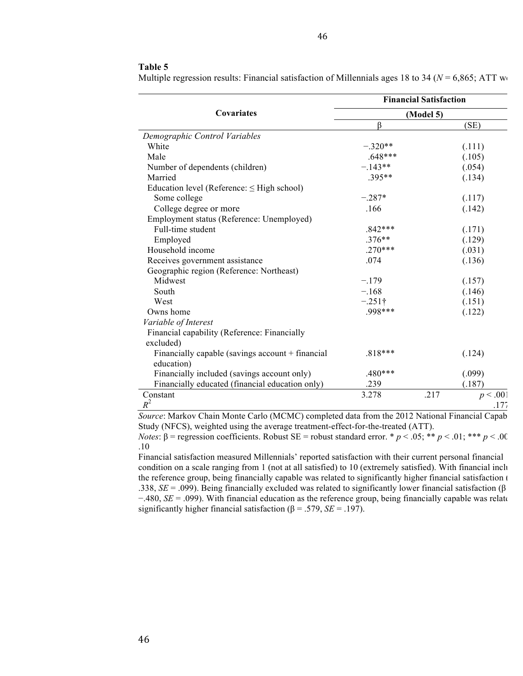## **Table 5**

|                                                    | <b>Financial Satisfaction</b> |                  |  |  |  |  |
|----------------------------------------------------|-------------------------------|------------------|--|--|--|--|
| <b>Covariates</b>                                  |                               | (Model 5)        |  |  |  |  |
|                                                    | ß                             | (SE)             |  |  |  |  |
| Demographic Control Variables                      |                               |                  |  |  |  |  |
| White                                              | $-.320**$                     | (.111)           |  |  |  |  |
| Male                                               | $.648***$                     | (.105)           |  |  |  |  |
| Number of dependents (children)                    | $-.143**$                     | (.054)           |  |  |  |  |
| Married                                            | $.395**$                      | (.134)           |  |  |  |  |
| Education level (Reference: $\leq$ High school)    |                               |                  |  |  |  |  |
| Some college                                       | $-.287*$                      | (.117)           |  |  |  |  |
| College degree or more                             | .166                          | (.142)           |  |  |  |  |
| Employment status (Reference: Unemployed)          |                               |                  |  |  |  |  |
| Full-time student                                  | $.842***$                     | (.171)           |  |  |  |  |
| Employed                                           | $.376**$                      | (.129)           |  |  |  |  |
| Household income                                   | $.270***$                     | (.031)           |  |  |  |  |
| Receives government assistance                     | .074                          | (.136)           |  |  |  |  |
| Geographic region (Reference: Northeast)           |                               |                  |  |  |  |  |
| Midwest                                            | $-.179$                       | (.157)           |  |  |  |  |
| South                                              | $-.168$                       | (.146)           |  |  |  |  |
| West                                               | $-.251\dagger$                | (.151)           |  |  |  |  |
| Owns home                                          | .998***                       | (.122)           |  |  |  |  |
| Variable of Interest                               |                               |                  |  |  |  |  |
| Financial capability (Reference: Financially       |                               |                  |  |  |  |  |
| excluded)                                          |                               |                  |  |  |  |  |
| Financially capable (savings account $+$ financial | $.818***$                     | (.124)           |  |  |  |  |
| education)                                         |                               |                  |  |  |  |  |
| Financially included (savings account only)        | $.480***$                     | (.099)           |  |  |  |  |
| Financially educated (financial education only)    | .239                          | (.187)           |  |  |  |  |
| Constant                                           | 3.278                         | .217<br>p < .001 |  |  |  |  |
| $R^2$                                              |                               | .177             |  |  |  |  |

Multiple regression results: Financial satisfaction of Millennials ages 18 to 34 ( $N = 6,865$ ; ATT we

*Source*: Markov Chain Monte Carlo (MCMC) completed data from the 2012 National Financial Capab Study (NFCS), weighted using the average treatment-effect-for-the-treated (ATT).

*Notes*: β = regression coefficients. Robust SE = robust standard error. \*  $p$  < .05; \*\*  $p$  < .01; \*\*\*  $p$  < .00 .10

Financial satisfaction measured Millennials' reported satisfaction with their current personal financial condition on a scale ranging from 1 (not at all satisfied) to 10 (extremely satisfied). With financial inclusion the reference group, being financially capable was related to significantly higher financial satisfaction ( .338, *SE* = .099). Being financially excluded was related to significantly lower financial satisfaction (β  $-480$ ,  $SE = .099$ ). With financial education as the reference group, being financially capable was related to significantly higher financial satisfaction ( $\beta$  = .579, *SE* = .197).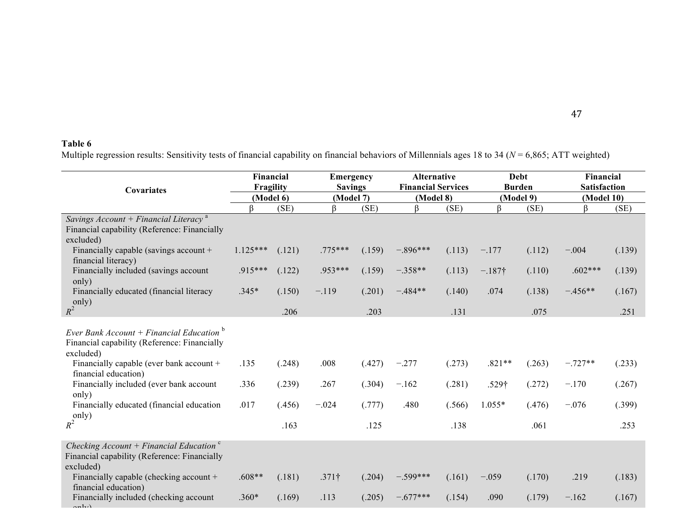# **Table 6**

Multiple regression results: Sensitivity tests of financial capability on financial behaviors of Millennials ages 18 to 34 (*N* = 6,865; ATT weighted)

| Covariates                                                                                                          | Financial<br>Fragility<br>(Model 6) |        |               | <b>Emergency</b><br><b>Savings</b><br>(Model 7) |            | <b>Alternative</b><br><b>Financial Services</b><br>(Model 8) |                   | <b>Debt</b><br><b>Burden</b><br>(Model 9) |            | Financial<br><b>Satisfaction</b> |
|---------------------------------------------------------------------------------------------------------------------|-------------------------------------|--------|---------------|-------------------------------------------------|------------|--------------------------------------------------------------|-------------------|-------------------------------------------|------------|----------------------------------|
|                                                                                                                     |                                     |        |               |                                                 |            |                                                              |                   |                                           | (Model 10) |                                  |
| Savings Account + Financial Literacy <sup>a</sup><br>Financial capability (Reference: Financially<br>excluded)      | ß                                   | (SE)   | ß             | (SE)                                            | ß          | (SE)                                                         | ß                 | (SE)                                      | ß          | (SE)                             |
| Financially capable (savings account +<br>financial literacy)                                                       | $1.125***$                          | (.121) | .775***       | (.159)                                          | $-.896***$ | (.113)                                                       | $-.177$           | (.112)                                    | $-.004$    | (.139)                           |
| Financially included (savings account<br>only)                                                                      | .915***                             | (.122) | .953***       | (.159)                                          | $-.358**$  | (.113)                                                       | $-.187†$          | (.110)                                    | $.602***$  | (.139)                           |
| Financially educated (financial literacy<br>$R^2$ only)                                                             | $.345*$                             | (.150) | $-.119$       | (.201)                                          | $-.484**$  | (.140)                                                       | .074              | (.138)                                    | $-.456**$  | (.167)                           |
|                                                                                                                     |                                     | .206   |               | .203                                            |            | .131                                                         |                   | .075                                      |            | .251                             |
| Ever Bank Account + Financial Education $\overline{b}$<br>Financial capability (Reference: Financially<br>excluded) |                                     |        |               |                                                 |            |                                                              |                   |                                           |            |                                  |
| Financially capable (ever bank account +<br>financial education)                                                    | .135                                | (.248) | .008          | (.427)                                          | $-.277$    | (.273)                                                       | $.821**$          | (.263)                                    | $-.727**$  | (.233)                           |
| Financially included (ever bank account<br>only)                                                                    | .336                                | (.239) | .267          | (.304)                                          | $-.162$    | (.281)                                                       | .529 <sup>†</sup> | (.272)                                    | $-.170$    | (.267)                           |
| Financially educated (financial education                                                                           | .017                                | (.456) | $-.024$       | (.777)                                          | .480       | (.566)                                                       | $1.055*$          | (.476)                                    | $-.076$    | (.399)                           |
| $rac{1}{R^2}$ only)                                                                                                 |                                     | .163   |               | .125                                            |            | .138                                                         |                   | .061                                      |            | .253                             |
| Checking $Account + Financial Educationc$<br>Financial capability (Reference: Financially<br>excluded)              |                                     |        |               |                                                 |            |                                                              |                   |                                           |            |                                  |
| Financially capable (checking account +<br>financial education)                                                     | $.608**$                            | (.181) | $.371\dagger$ | (.204)                                          | $-.599***$ | (.161)                                                       | $-.059$           | (.170)                                    | .219       | (.183)                           |
| Financially included (checking account                                                                              | $.360*$                             | (.169) | .113          | (.205)                                          | $-.677***$ | (.154)                                                       | .090              | (.179)                                    | $-.162$    | (.167)                           |
| Financially educated (financial education                                                                           | .247                                | (.293) | .043          | (.301)                                          | .456       | (279)                                                        | .290              | (.281)                                    | $-.102$    | (.258)                           |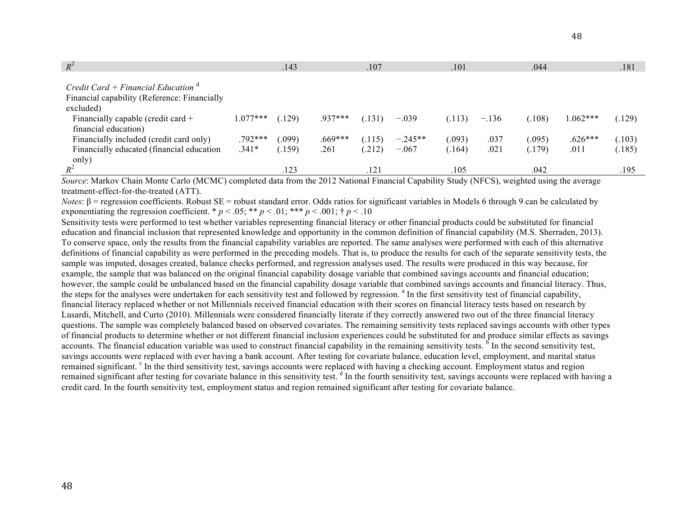| $R^2$                                                                                          |            | .143   |         | .107        |           | .101   |         | .044   |            | .181   |
|------------------------------------------------------------------------------------------------|------------|--------|---------|-------------|-----------|--------|---------|--------|------------|--------|
| Credit Card + Financial Education <sup>d</sup><br>Financial capability (Reference: Financially |            |        |         |             |           |        |         |        |            |        |
| excluded)<br>Financially capable (credit card $+$<br>financial education)                      | $1.077***$ | (.129) | .937*** | (.131)      | $-.039$   | (.113) | $-.136$ | (.108) | $1.062***$ | (.129) |
| Financially included (credit card only)                                                        | .792***    | 0.099  | .669*** | (.115)      | $-.245**$ | (.093) | .037    | 0.095) | $.626***$  | (.103) |
| Financially educated (financial education<br>only)                                             | $.341*$    | (.159) | .261    | (.212)      | $-.067$   | (.164) | .021    | (.179) | .011       | (.185) |
| $R^2$                                                                                          |            | .123   |         | $.12^\circ$ |           | .105   |         | .042   |            | .195   |

*Source*: Markov Chain Monte Carlo (MCMC) completed data from the 2012 National Financial Capability Study (NFCS), weighted using the average treatment-effect-for-the-treated (ATT).

*Notes*:  $β$  = regression coefficients. Robust SE = robust standard error. Odds ratios for significant variables in Models 6 through 9 can be calculated by exponentiating the regression coefficient. \*  $p < .05$ ; \*\*  $p < .01$ ; \*\*\*  $p < .001$ ; †  $p < .10$ 

Sensitivity tests were performed to test whether variables representing financial literacy or other financial products could be substituted for financial education and financial inclusion that represented knowledge and opportunity in the common definition of financial capability (M.S. Sherraden, 2013). To conserve space, only the results from the financial capability variables are reported. The same analyses were performed with each of this alternative definitions of financial capability as were performed in the preceding models. That is, to produce the results for each of the separate sensitivity tests, the sample was imputed, dosages created, balance checks performed, and regression analyses used. The results were produced in this way because, for example, the sample that was balanced on the original financial capability dosage variable that combined savings accounts and financial education; however, the sample could be unbalanced based on the financial capability dosage variable that combined savings accounts and financial literacy. Thus, the steps for the analyses were undertaken for each sensitivity test and followed by regression. <sup>a</sup> In the first sensitivity test of financial capability, financial literacy replaced whether or not Millennials received financial education with their scores on financial literacy tests based on research by Lusardi, Mitchell, and Curto (2010). Millennials were considered financially literate if they correctly answered two out of the three financial literacy questions. The sample was completely balanced based on observed covariates. The remaining sensitivity tests replaced savings accounts with other types of financial products to determine whether or not different financial inclusion experiences could be substituted for and produce similar effects as savings accounts. The financial education variable was used to construct financial capability in the remaining sensitivity tests.  $\overline{b}$  In the second sensitivity test, savings accounts were replaced with ever having a bank account. After testing for covariate balance, education level, employment, and marital status remained significant. <sup>c</sup> In the third sensitivity test, savings accounts were replaced with having a checking account. Employment status and region remained significant after testing for covariate balance in this sensitivity test. <sup>d</sup> In the fourth sensitivity test, savings accounts were replaced with having a credit card. In the fourth sensitivity test, employment status and region remained significant after testing for covariate balance.